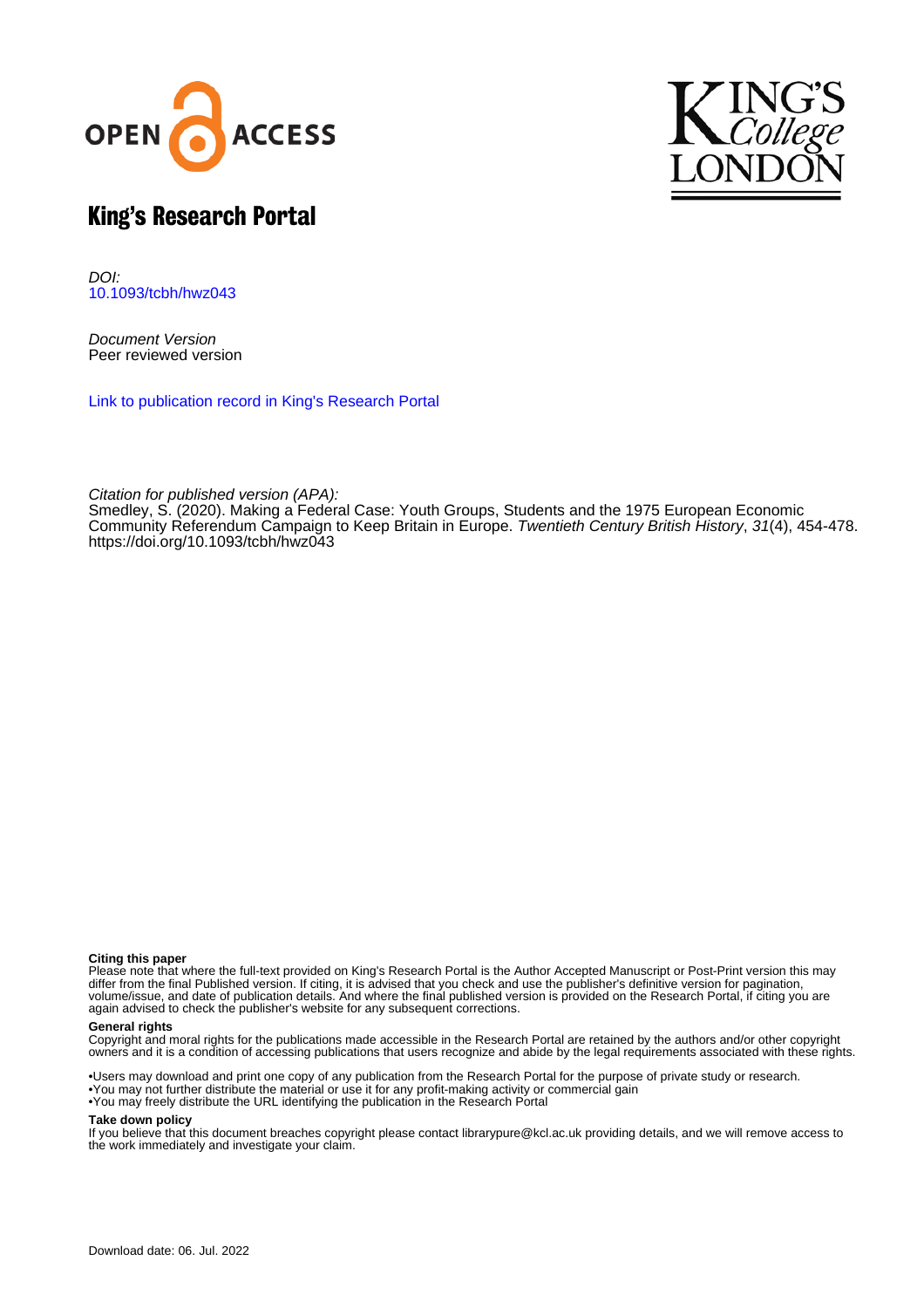



# King's Research Portal

DOI: [10.1093/tcbh/hwz043](https://doi.org/10.1093/tcbh/hwz043)

Document Version Peer reviewed version

[Link to publication record in King's Research Portal](https://kclpure.kcl.ac.uk/portal/en/publications/making-a-federal-case(4728d17a-7cca-4982-91ca-8b7ad0860743).html)

Citation for published version (APA):

[Smedley, S.](https://kclpure.kcl.ac.uk/portal/en/persons/stuart-smedley(b1c42722-57e0-4b39-a376-ef1a91b1a3e7).html) (2020). [Making a Federal Case: Youth Groups, Students and the 1975 European Economic](https://kclpure.kcl.ac.uk/portal/en/publications/making-a-federal-case(4728d17a-7cca-4982-91ca-8b7ad0860743).html) [Community Referendum Campaign to Keep Britain in Europe.](https://kclpure.kcl.ac.uk/portal/en/publications/making-a-federal-case(4728d17a-7cca-4982-91ca-8b7ad0860743).html) [Twentieth Century British History](https://kclpure.kcl.ac.uk/portal/en/journals/twentieth-century-british-history(6b5679f8-43b3-4cbb-90f5-e717872eab66).html), 31(4), 454-478. <https://doi.org/10.1093/tcbh/hwz043>

#### **Citing this paper**

Please note that where the full-text provided on King's Research Portal is the Author Accepted Manuscript or Post-Print version this may differ from the final Published version. If citing, it is advised that you check and use the publisher's definitive version for pagination, volume/issue, and date of publication details. And where the final published version is provided on the Research Portal, if citing you are again advised to check the publisher's website for any subsequent corrections.

#### **General rights**

Copyright and moral rights for the publications made accessible in the Research Portal are retained by the authors and/or other copyright owners and it is a condition of accessing publications that users recognize and abide by the legal requirements associated with these rights.

•Users may download and print one copy of any publication from the Research Portal for the purpose of private study or research. •You may not further distribute the material or use it for any profit-making activity or commercial gain •You may freely distribute the URL identifying the publication in the Research Portal

#### **Take down policy**

If you believe that this document breaches copyright please contact librarypure@kcl.ac.uk providing details, and we will remove access to the work immediately and investigate your claim.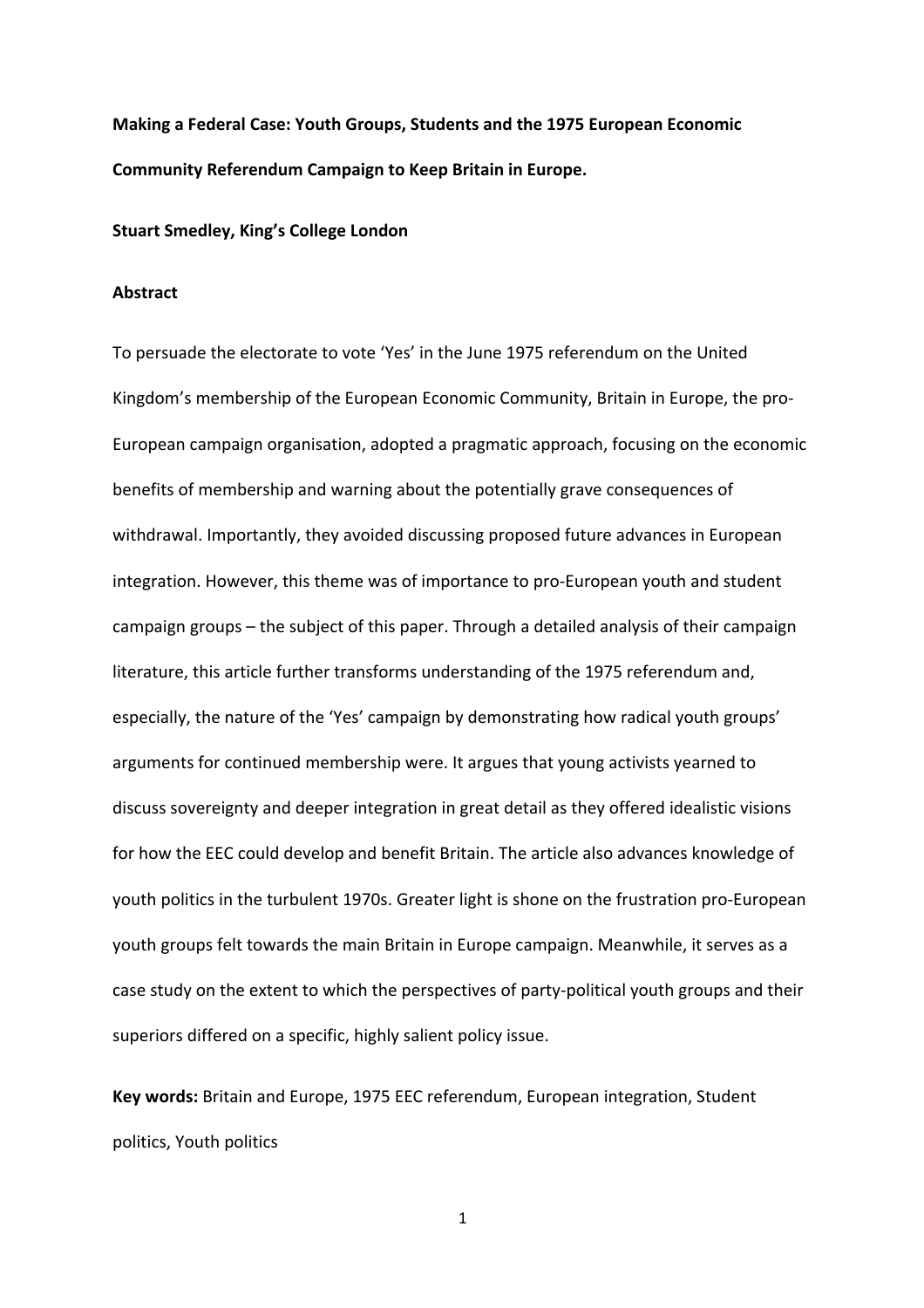**Making a Federal Case: Youth Groups, Students and the 1975 European Economic Community Referendum Campaign to Keep Britain in Europe.**

#### **Stuart Smedley, King's College London**

#### **Abstract**

To persuade the electorate to vote 'Yes' in the June 1975 referendum on the United Kingdom's membership of the European Economic Community, Britain in Europe, the pro-European campaign organisation, adopted a pragmatic approach, focusing on the economic benefits of membership and warning about the potentially grave consequences of withdrawal. Importantly, they avoided discussing proposed future advances in European integration. However, this theme was of importance to pro-European youth and student campaign groups – the subject of this paper. Through a detailed analysis of their campaign literature, this article further transforms understanding of the 1975 referendum and, especially, the nature of the 'Yes' campaign by demonstrating how radical youth groups' arguments for continued membership were. It argues that young activists yearned to discuss sovereignty and deeper integration in great detail as they offered idealistic visions for how the EEC could develop and benefit Britain. The article also advances knowledge of youth politics in the turbulent 1970s. Greater light is shone on the frustration pro-European youth groups felt towards the main Britain in Europe campaign. Meanwhile, it serves as a case study on the extent to which the perspectives of party-political youth groups and their superiors differed on a specific, highly salient policy issue.

**Key words:** Britain and Europe, 1975 EEC referendum, European integration, Student politics, Youth politics

1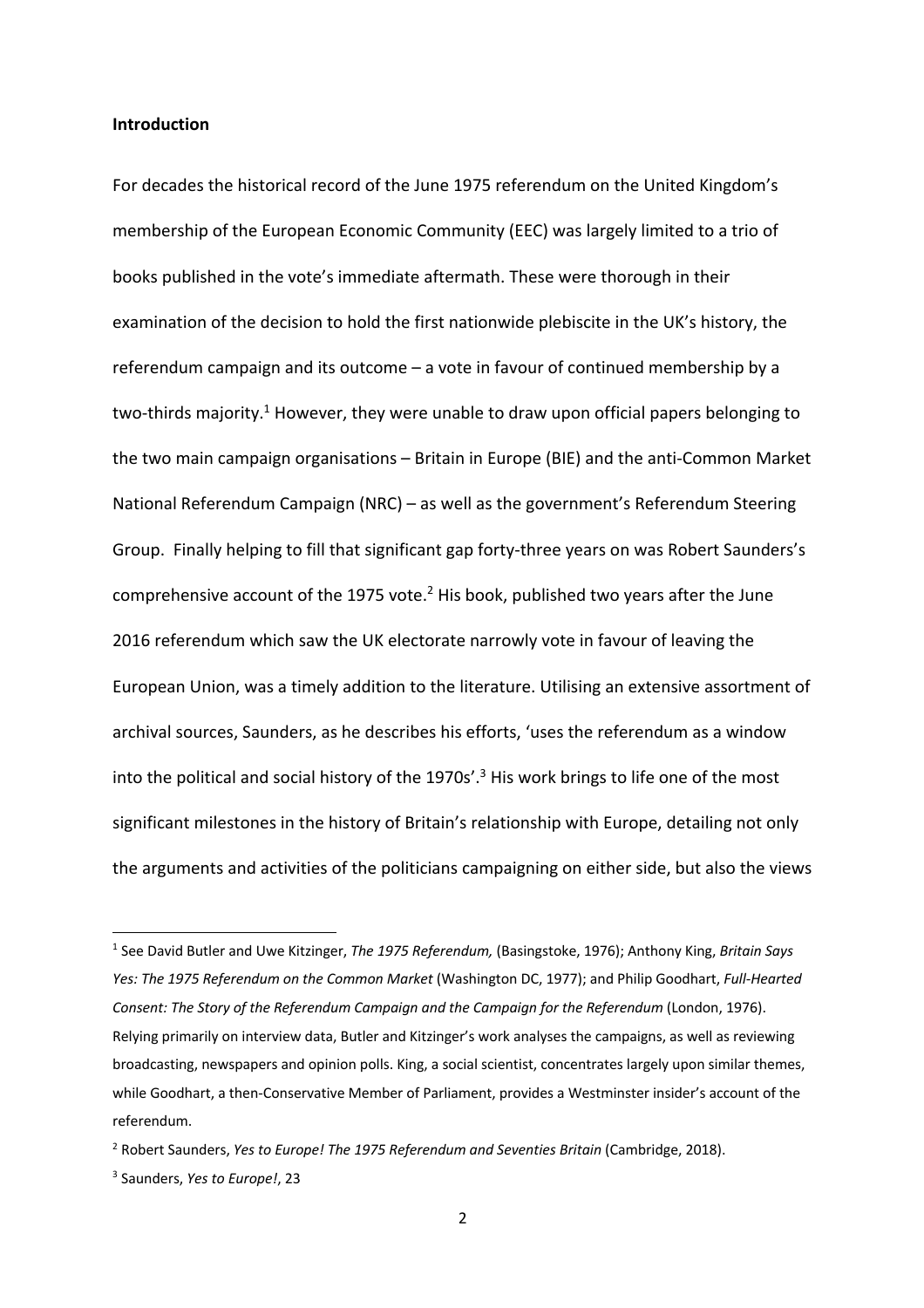## **Introduction**

For decades the historical record of the June 1975 referendum on the United Kingdom's membership of the European Economic Community (EEC) was largely limited to a trio of books published in the vote's immediate aftermath. These were thorough in their examination of the decision to hold the first nationwide plebiscite in the UK's history, the referendum campaign and its outcome – a vote in favour of continued membership by a two-thirds majority.<sup>1</sup> However, they were unable to draw upon official papers belonging to the two main campaign organisations – Britain in Europe (BIE) and the anti-Common Market National Referendum Campaign (NRC) – as well as the government's Referendum Steering Group. Finally helping to fill that significant gap forty-three years on was Robert Saunders's comprehensive account of the 1975 vote. $<sup>2</sup>$  His book, published two years after the June</sup> 2016 referendum which saw the UK electorate narrowly vote in favour of leaving the European Union, was a timely addition to the literature. Utilising an extensive assortment of archival sources, Saunders, as he describes his efforts, 'uses the referendum as a window into the political and social history of the 1970s'. <sup>3</sup> His work brings to life one of the most significant milestones in the history of Britain's relationship with Europe, detailing not only the arguments and activities of the politicians campaigning on either side, but also the views

<sup>1</sup> See David Butler and Uwe Kitzinger, *The 1975 Referendum,* (Basingstoke, 1976); Anthony King, *Britain Says Yes: The 1975 Referendum on the Common Market* (Washington DC, 1977); and Philip Goodhart, *Full-Hearted*  Consent: The Story of the Referendum Campaign and the Campaign for the Referendum (London, 1976). Relying primarily on interview data, Butler and Kitzinger's work analyses the campaigns, as well as reviewing broadcasting, newspapers and opinion polls. King, a social scientist, concentrates largely upon similar themes, while Goodhart, a then-Conservative Member of Parliament, provides a Westminster insider's account of the referendum.

<sup>&</sup>lt;sup>2</sup> Robert Saunders, *Yes to Europe! The 1975 Referendum and Seventies Britain* (Cambridge, 2018).

<sup>3</sup> Saunders, *Yes to Europe!*, 23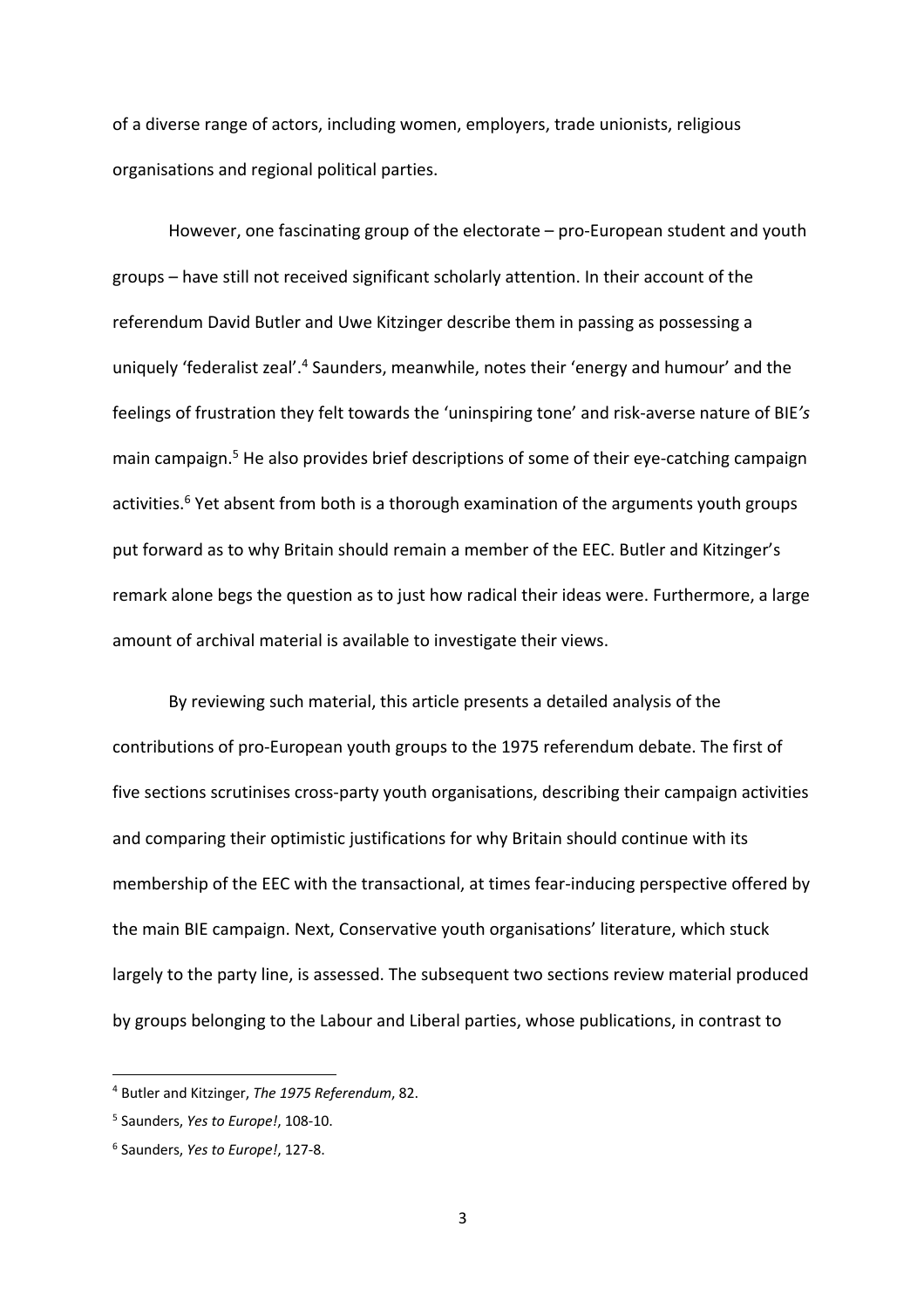of a diverse range of actors, including women, employers, trade unionists, religious organisations and regional political parties.

However, one fascinating group of the electorate – pro-European student and youth groups – have still not received significant scholarly attention. In their account of the referendum David Butler and Uwe Kitzinger describe them in passing as possessing a uniquely 'federalist zeal'.<sup>4</sup> Saunders, meanwhile, notes their 'energy and humour' and the feelings of frustration they felt towards the 'uninspiring tone' and risk-averse nature of BIE*'s*  main campaign.<sup>5</sup> He also provides brief descriptions of some of their eye-catching campaign activities.<sup>6</sup> Yet absent from both is a thorough examination of the arguments youth groups put forward as to why Britain should remain a member of the EEC. Butler and Kitzinger's remark alone begs the question as to just how radical their ideas were. Furthermore, a large amount of archival material is available to investigate their views.

By reviewing such material, this article presents a detailed analysis of the contributions of pro-European youth groups to the 1975 referendum debate. The first of five sections scrutinises cross-party youth organisations, describing their campaign activities and comparing their optimistic justifications for why Britain should continue with its membership of the EEC with the transactional, at times fear-inducing perspective offered by the main BIE campaign. Next, Conservative youth organisations' literature, which stuck largely to the party line, is assessed. The subsequent two sections review material produced by groups belonging to the Labour and Liberal parties, whose publications, in contrast to

<sup>4</sup> Butler and Kitzinger, *The 1975 Referendum*, 82.

<sup>5</sup> Saunders, *Yes to Europe!*, 108-10.

<sup>6</sup> Saunders, *Yes to Europe!*, 127-8.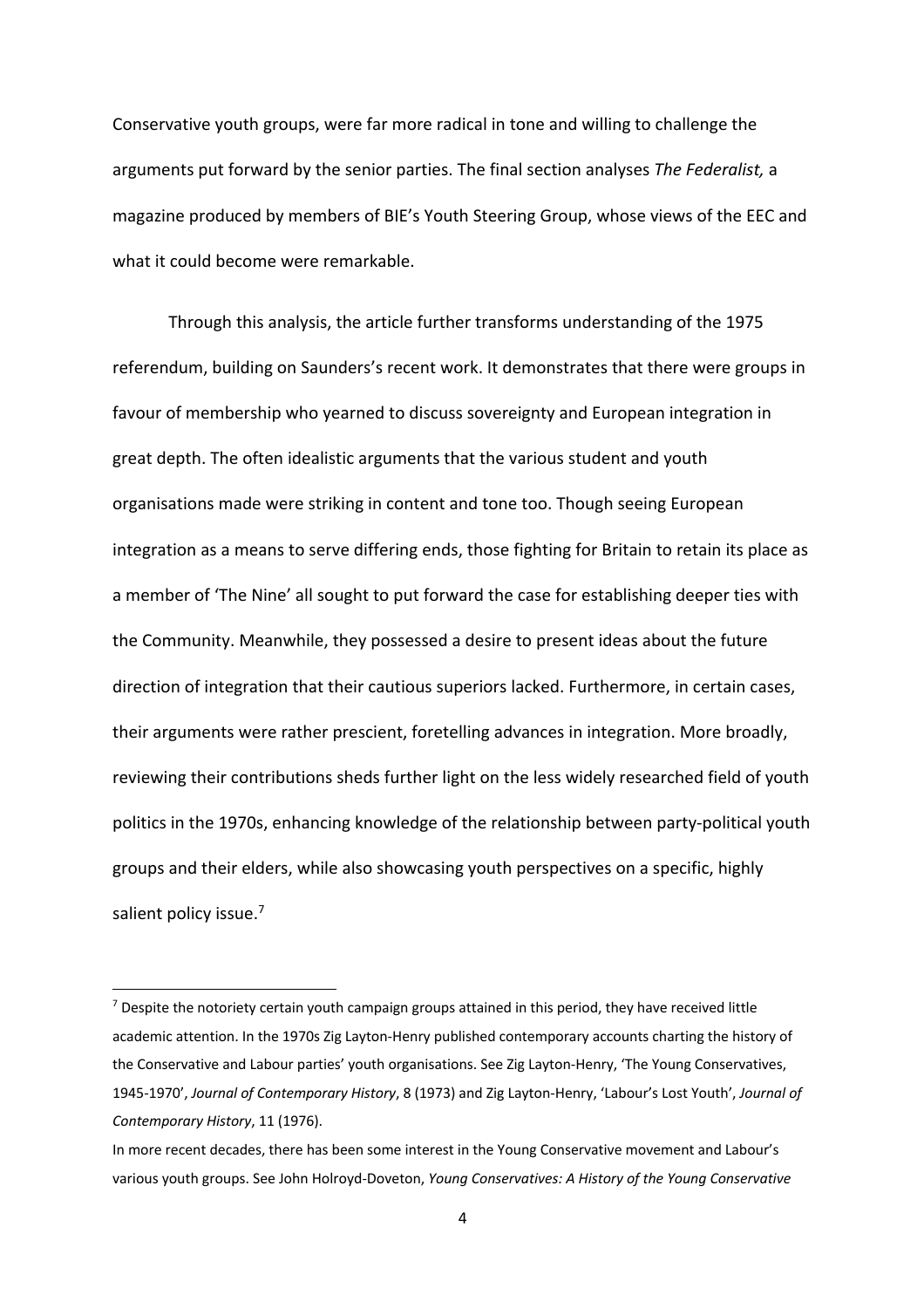Conservative youth groups, were far more radical in tone and willing to challenge the arguments put forward by the senior parties. The final section analyses *The Federalist,* a magazine produced by members of BIE's Youth Steering Group, whose views of the EEC and what it could become were remarkable.

Through this analysis, the article further transforms understanding of the 1975 referendum, building on Saunders's recent work. It demonstrates that there were groups in favour of membership who yearned to discuss sovereignty and European integration in great depth. The often idealistic arguments that the various student and youth organisations made were striking in content and tone too. Though seeing European integration as a means to serve differing ends, those fighting for Britain to retain its place as a member of 'The Nine' all sought to put forward the case for establishing deeper ties with the Community. Meanwhile, they possessed a desire to present ideas about the future direction of integration that their cautious superiors lacked. Furthermore, in certain cases, their arguments were rather prescient, foretelling advances in integration. More broadly, reviewing their contributions sheds further light on the less widely researched field of youth politics in the 1970s, enhancing knowledge of the relationship between party-political youth groups and their elders, while also showcasing youth perspectives on a specific, highly salient policy issue.<sup>7</sup>

 $7$  Despite the notoriety certain youth campaign groups attained in this period, they have received little academic attention. In the 1970s Zig Layton-Henry published contemporary accounts charting the history of the Conservative and Labour parties' youth organisations. See Zig Layton-Henry, 'The Young Conservatives, 1945-1970', *Journal of Contemporary History*, 8 (1973) and Zig Layton-Henry, 'Labour's Lost Youth', *Journal of Contemporary History*, 11 (1976).

In more recent decades, there has been some interest in the Young Conservative movement and Labour's various youth groups. See John Holroyd-Doveton, *Young Conservatives: A History of the Young Conservative*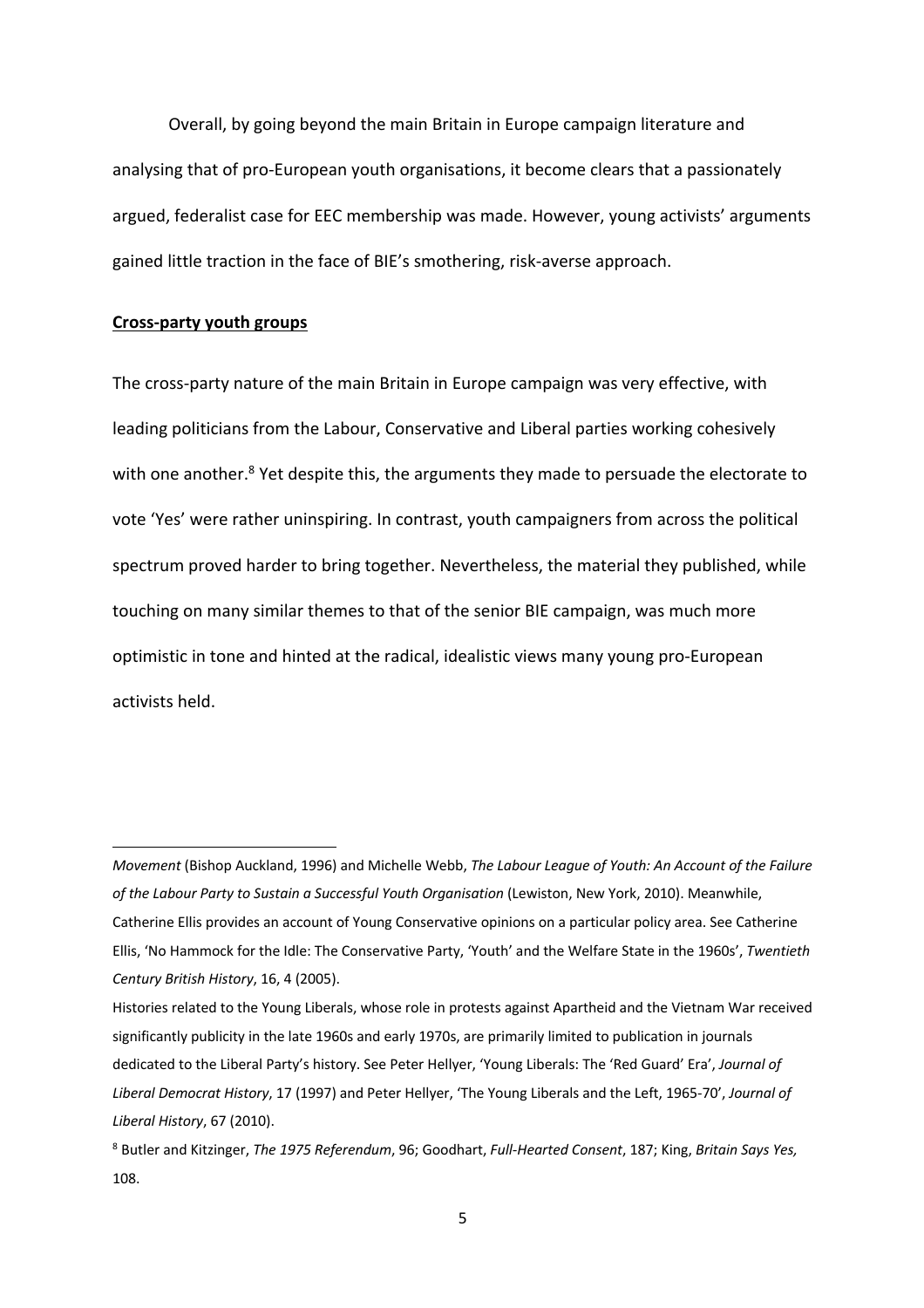Overall, by going beyond the main Britain in Europe campaign literature and analysing that of pro-European youth organisations, it become clears that a passionately argued, federalist case for EEC membership was made. However, young activists' arguments gained little traction in the face of BIE's smothering, risk-averse approach.

#### **Cross-party youth groups**

The cross-party nature of the main Britain in Europe campaign was very effective, with leading politicians from the Labour, Conservative and Liberal parties working cohesively with one another.<sup>8</sup> Yet despite this, the arguments they made to persuade the electorate to vote 'Yes' were rather uninspiring. In contrast, youth campaigners from across the political spectrum proved harder to bring together. Nevertheless, the material they published, while touching on many similar themes to that of the senior BIE campaign, was much more optimistic in tone and hinted at the radical, idealistic views many young pro-European activists held.

*Movement* (Bishop Auckland, 1996) and Michelle Webb, *The Labour League of Youth: An Account of the Failure of the Labour Party to Sustain a Successful Youth Organisation* (Lewiston, New York, 2010). Meanwhile, Catherine Ellis provides an account of Young Conservative opinions on a particular policy area. See Catherine Ellis, 'No Hammock for the Idle: The Conservative Party, 'Youth' and the Welfare State in the 1960s', *Twentieth Century British History*, 16, 4 (2005).

Histories related to the Young Liberals, whose role in protests against Apartheid and the Vietnam War received significantly publicity in the late 1960s and early 1970s, are primarily limited to publication in journals dedicated to the Liberal Party's history. See Peter Hellyer, 'Young Liberals: The 'Red Guard' Era', *Journal of Liberal Democrat History*, 17 (1997) and Peter Hellyer, 'The Young Liberals and the Left, 1965-70', *Journal of Liberal History*, 67 (2010).

<sup>8</sup> Butler and Kitzinger, *The 1975 Referendum*, 96; Goodhart, *Full-Hearted Consent*, 187; King, *Britain Says Yes,*  108.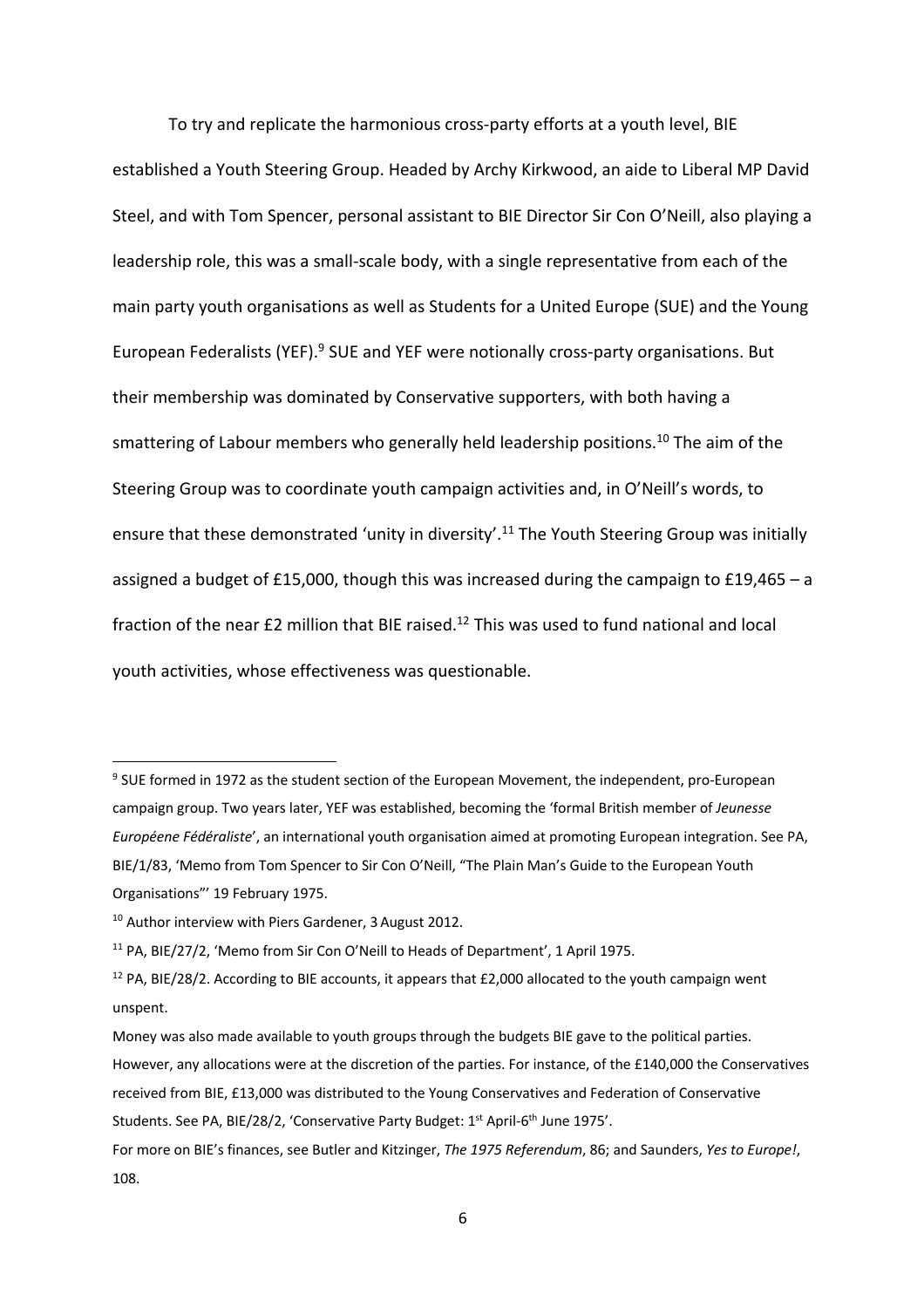To try and replicate the harmonious cross-party efforts at a youth level, BIE established a Youth Steering Group. Headed by Archy Kirkwood, an aide to Liberal MP David Steel, and with Tom Spencer, personal assistant to BIE Director Sir Con O'Neill, also playing a leadership role, this was a small-scale body, with a single representative from each of the main party youth organisations as well as Students for a United Europe (SUE) and the Young European Federalists (YEF).<sup>9</sup> SUE and YEF were notionally cross-party organisations. But their membership was dominated by Conservative supporters, with both having a smattering of Labour members who generally held leadership positions.<sup>10</sup> The aim of the Steering Group was to coordinate youth campaign activities and, in O'Neill's words, to ensure that these demonstrated 'unity in diversity'.<sup>11</sup> The Youth Steering Group was initially assigned a budget of £15,000, though this was increased during the campaign to £19,465 – a fraction of the near £2 million that BIE raised.<sup>12</sup> This was used to fund national and local youth activities, whose effectiveness was questionable.

<sup>9</sup> SUE formed in 1972 as the student section of the European Movement, the independent, pro-European campaign group. Two years later, YEF was established, becoming the 'formal British member of *Jeunesse Européene Fédéraliste*', an international youth organisation aimed at promoting European integration. See PA, BIE/1/83, 'Memo from Tom Spencer to Sir Con O'Neill, "The Plain Man's Guide to the European Youth Organisations"' 19 February 1975.

<sup>10</sup> Author interview with Piers Gardener, 3August 2012.

<sup>&</sup>lt;sup>11</sup> PA, BIE/27/2, 'Memo from Sir Con O'Neill to Heads of Department', 1 April 1975.

<sup>&</sup>lt;sup>12</sup> PA, BIE/28/2. According to BIE accounts, it appears that £2,000 allocated to the youth campaign went unspent.

Money was also made available to youth groups through the budgets BIE gave to the political parties. However, any allocations were at the discretion of the parties. For instance, of the £140,000 the Conservatives received from BIE, £13,000 was distributed to the Young Conservatives and Federation of Conservative Students. See PA, BIE/28/2, 'Conservative Party Budget: 1<sup>st</sup> April-6<sup>th</sup> June 1975'.

For more on BIE's finances, see Butler and Kitzinger, *The 1975 Referendum*, 86; and Saunders, *Yes to Europe!*, 108.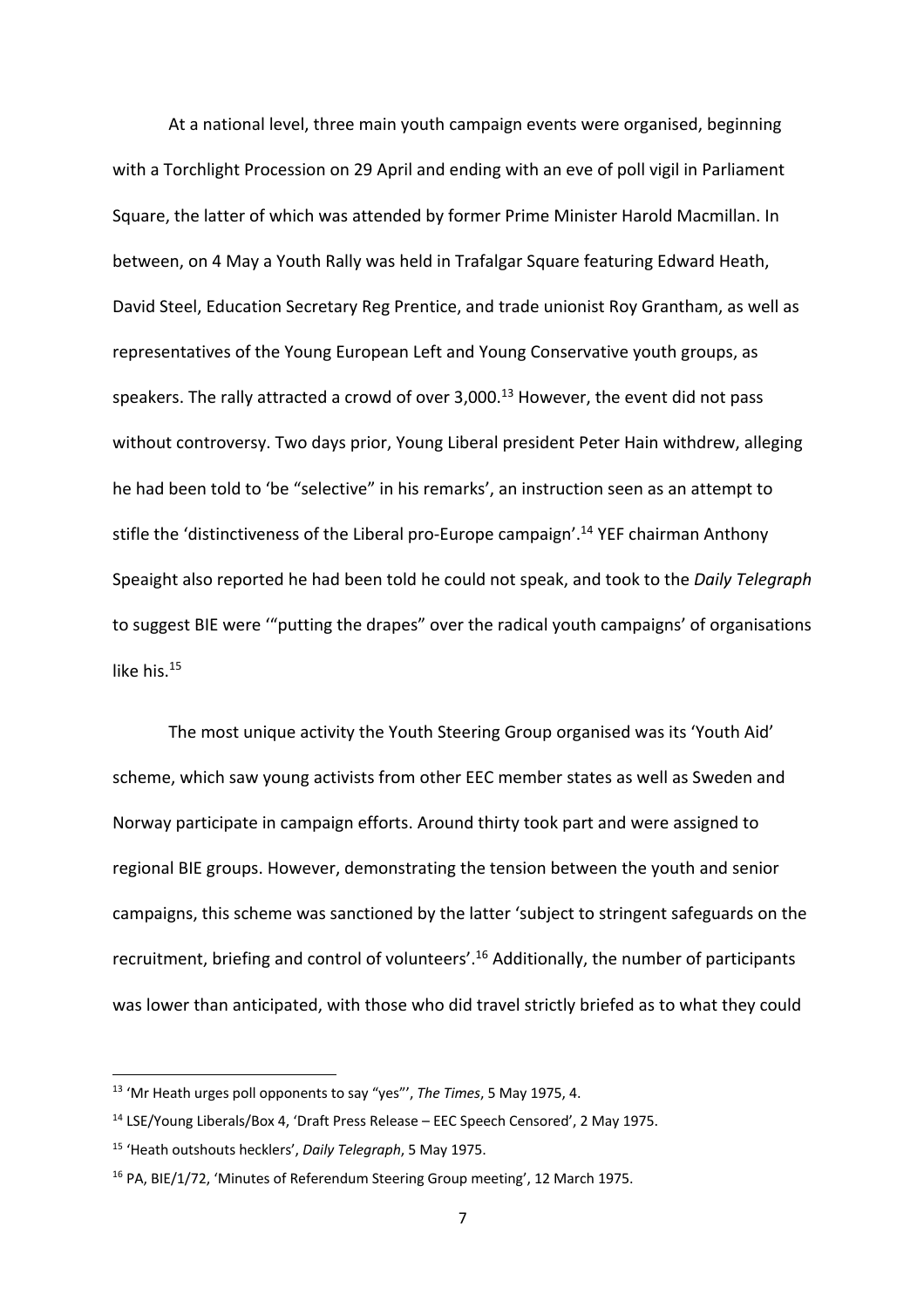At a national level, three main youth campaign events were organised, beginning with a Torchlight Procession on 29 April and ending with an eve of poll vigil in Parliament Square, the latter of which was attended by former Prime Minister Harold Macmillan. In between, on 4 May a Youth Rally was held in Trafalgar Square featuring Edward Heath, David Steel, Education Secretary Reg Prentice, and trade unionist Roy Grantham, as well as representatives of the Young European Left and Young Conservative youth groups, as speakers. The rally attracted a crowd of over  $3,000$ .<sup>13</sup> However, the event did not pass without controversy. Two days prior, Young Liberal president Peter Hain withdrew, alleging he had been told to 'be "selective" in his remarks', an instruction seen as an attempt to stifle the 'distinctiveness of the Liberal pro-Europe campaign'.<sup>14</sup> YEF chairman Anthony Speaight also reported he had been told he could not speak, and took to the *Daily Telegraph*  to suggest BIE were '"putting the drapes" over the radical youth campaigns' of organisations like his.<sup>15</sup>

The most unique activity the Youth Steering Group organised was its 'Youth Aid' scheme, which saw young activists from other EEC member states as well as Sweden and Norway participate in campaign efforts. Around thirty took part and were assigned to regional BIE groups. However, demonstrating the tension between the youth and senior campaigns, this scheme was sanctioned by the latter 'subject to stringent safeguards on the recruitment, briefing and control of volunteers'.16 Additionally, the number of participants was lower than anticipated, with those who did travel strictly briefed as to what they could

<sup>13</sup> 'Mr Heath urges poll opponents to say "yes"', *The Times*, 5 May 1975, 4.

<sup>14</sup> LSE/Young Liberals/Box 4, 'Draft Press Release – EEC Speech Censored', 2 May 1975.

<sup>15</sup> 'Heath outshouts hecklers', *Daily Telegraph*, 5 May 1975.

<sup>&</sup>lt;sup>16</sup> PA, BIE/1/72, 'Minutes of Referendum Steering Group meeting', 12 March 1975.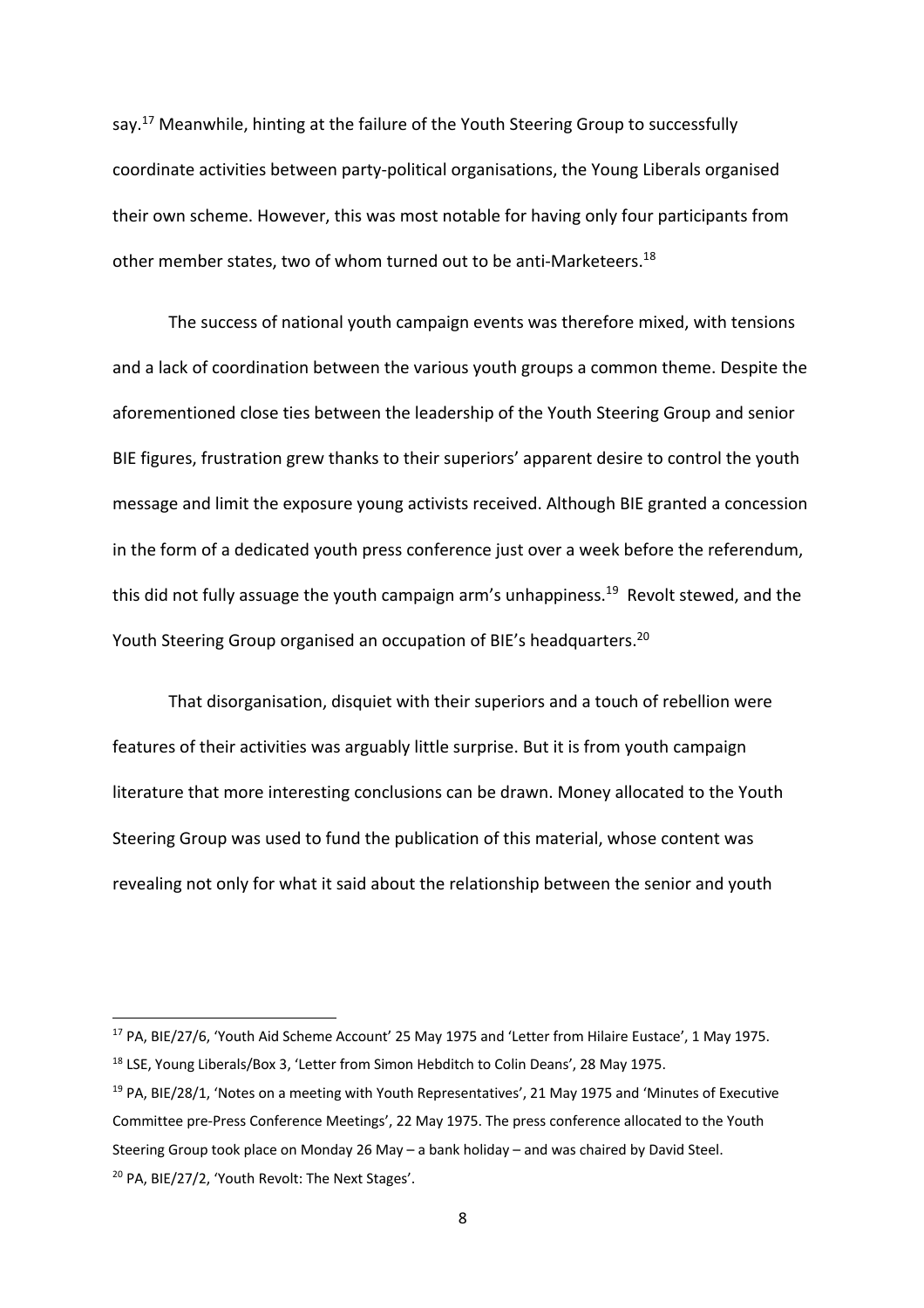say.<sup>17</sup> Meanwhile, hinting at the failure of the Youth Steering Group to successfully coordinate activities between party-political organisations, the Young Liberals organised their own scheme. However, this was most notable for having only four participants from other member states, two of whom turned out to be anti-Marketeers.18

The success of national youth campaign events was therefore mixed, with tensions and a lack of coordination between the various youth groups a common theme. Despite the aforementioned close ties between the leadership of the Youth Steering Group and senior BIE figures, frustration grew thanks to their superiors' apparent desire to control the youth message and limit the exposure young activists received. Although BIE granted a concession in the form of a dedicated youth press conference just over a week before the referendum, this did not fully assuage the youth campaign arm's unhappiness.<sup>19</sup> Revolt stewed, and the Youth Steering Group organised an occupation of BIE's headquarters.<sup>20</sup>

That disorganisation, disquiet with their superiors and a touch of rebellion were features of their activities was arguably little surprise. But it is from youth campaign literature that more interesting conclusions can be drawn. Money allocated to the Youth Steering Group was used to fund the publication of this material, whose content was revealing not only for what it said about the relationship between the senior and youth

<sup>&</sup>lt;sup>17</sup> PA, BIE/27/6, 'Youth Aid Scheme Account' 25 May 1975 and 'Letter from Hilaire Eustace', 1 May 1975. <sup>18</sup> LSE, Young Liberals/Box 3, 'Letter from Simon Hebditch to Colin Deans', 28 May 1975.

<sup>&</sup>lt;sup>19</sup> PA, BIE/28/1, 'Notes on a meeting with Youth Representatives', 21 May 1975 and 'Minutes of Executive Committee pre-Press Conference Meetings', 22 May 1975. The press conference allocated to the Youth Steering Group took place on Monday 26 May – a bank holiday – and was chaired by David Steel. <sup>20</sup> PA, BIE/27/2, 'Youth Revolt: The Next Stages'.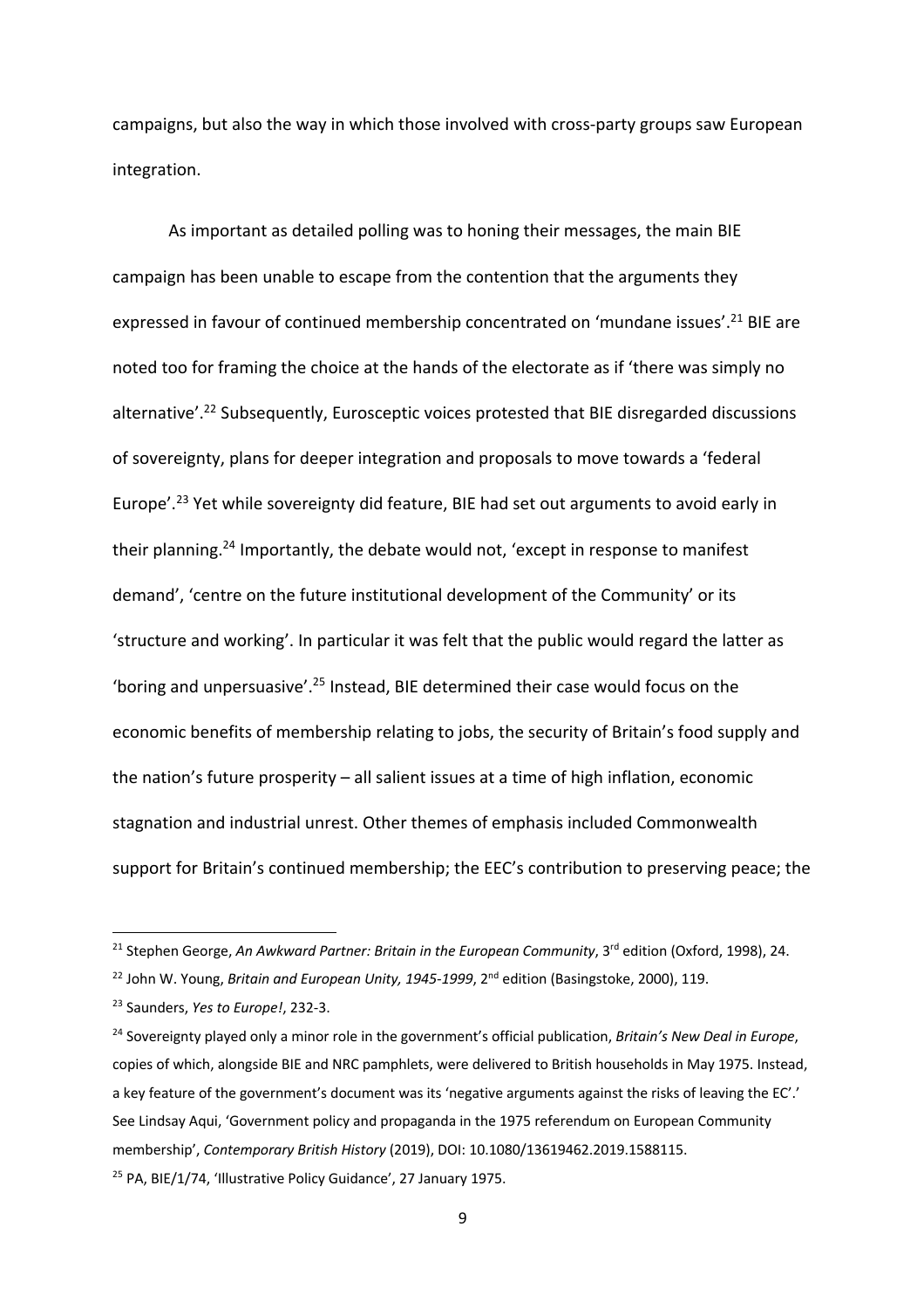campaigns, but also the way in which those involved with cross-party groups saw European integration.

As important as detailed polling was to honing their messages, the main BIE campaign has been unable to escape from the contention that the arguments they expressed in favour of continued membership concentrated on 'mundane issues'.<sup>21</sup> BIE are noted too for framing the choice at the hands of the electorate as if 'there was simply no alternative<sup>'.22</sup> Subsequently, Eurosceptic voices protested that BIE disregarded discussions of sovereignty, plans for deeper integration and proposals to move towards a 'federal Europe'.<sup>23</sup> Yet while sovereignty did feature, BIE had set out arguments to avoid early in their planning.<sup>24</sup> Importantly, the debate would not, 'except in response to manifest demand', 'centre on the future institutional development of the Community' or its 'structure and working'. In particular it was felt that the public would regard the latter as 'boring and unpersuasive'.25 Instead, BIE determined their case would focus on the economic benefits of membership relating to jobs, the security of Britain's food supply and the nation's future prosperity – all salient issues at a time of high inflation, economic stagnation and industrial unrest. Other themes of emphasis included Commonwealth support for Britain's continued membership; the EEC's contribution to preserving peace; the

<sup>&</sup>lt;sup>21</sup> Stephen George, *An Awkward Partner: Britain in the European Community*, 3<sup>rd</sup> edition (Oxford, 1998), 24.

<sup>&</sup>lt;sup>22</sup> John W. Young, *Britain and European Unity, 1945-1999*, 2<sup>nd</sup> edition (Basingstoke, 2000), 119.

<sup>23</sup> Saunders, *Yes to Europe!*, 232-3.

<sup>24</sup> Sovereignty played only a minor role in the government's official publication, *Britain's New Deal in Europe*, copies of which, alongside BIE and NRC pamphlets, were delivered to British households in May 1975. Instead, a key feature of the government's document was its 'negative arguments against the risks of leaving the EC'.' See Lindsay Aqui, 'Government policy and propaganda in the 1975 referendum on European Community membership', *Contemporary British History* (2019), DOI: 10.1080/13619462.2019.1588115.

<sup>&</sup>lt;sup>25</sup> PA. BIE/1/74, 'Illustrative Policy Guidance', 27 January 1975.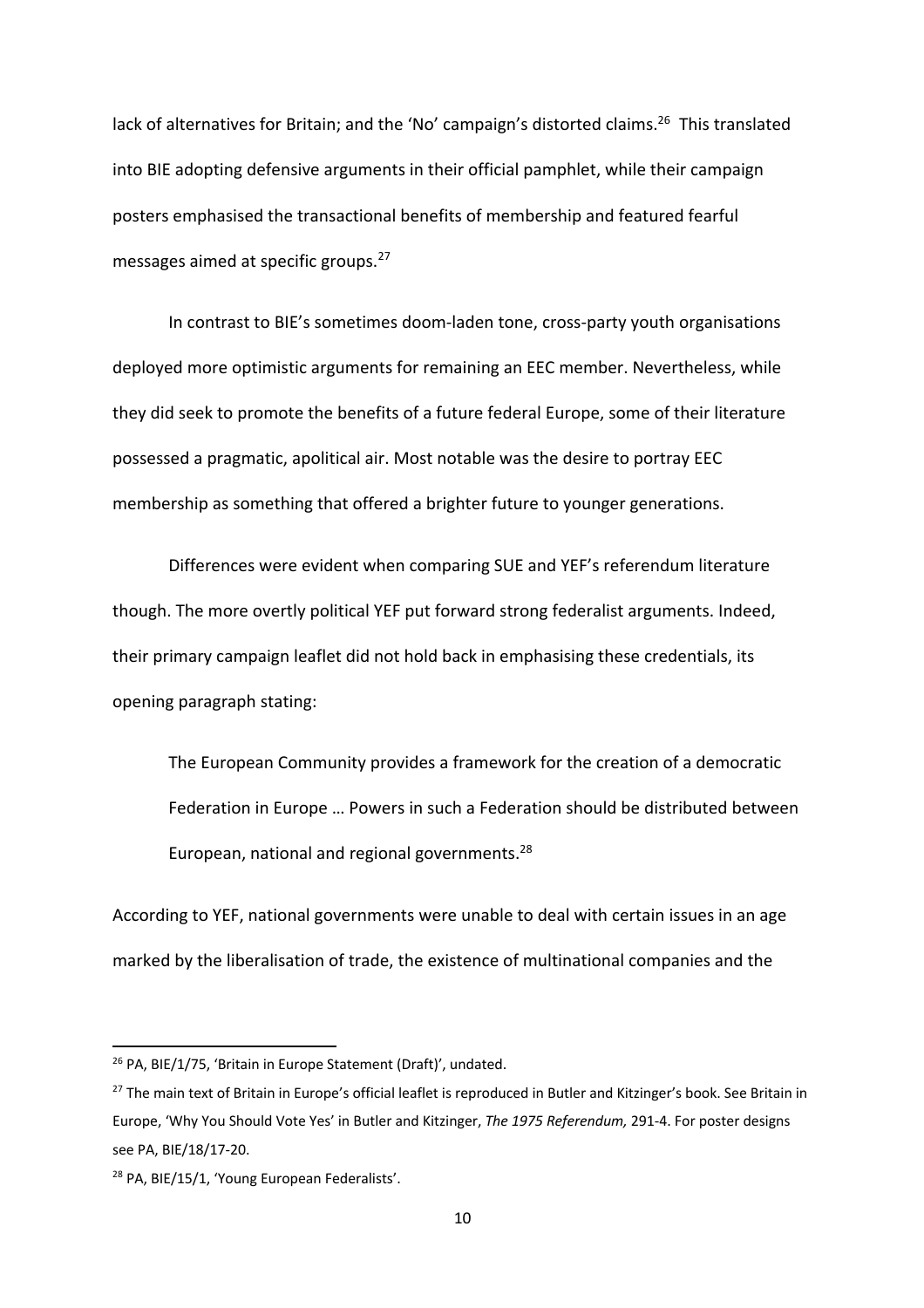lack of alternatives for Britain; and the 'No' campaign's distorted claims.<sup>26</sup> This translated into BIE adopting defensive arguments in their official pamphlet, while their campaign posters emphasised the transactional benefits of membership and featured fearful messages aimed at specific groups.27

In contrast to BIE's sometimes doom-laden tone, cross-party youth organisations deployed more optimistic arguments for remaining an EEC member. Nevertheless, while they did seek to promote the benefits of a future federal Europe, some of their literature possessed a pragmatic, apolitical air. Most notable was the desire to portray EEC membership as something that offered a brighter future to younger generations.

Differences were evident when comparing SUE and YEF's referendum literature though. The more overtly political YEF put forward strong federalist arguments. Indeed, their primary campaign leaflet did not hold back in emphasising these credentials, its opening paragraph stating:

The European Community provides a framework for the creation of a democratic Federation in Europe … Powers in such a Federation should be distributed between European, national and regional governments.28

According to YEF, national governments were unable to deal with certain issues in an age marked by the liberalisation of trade, the existence of multinational companies and the

<sup>26</sup> PA, BIE/1/75, 'Britain in Europe Statement (Draft)', undated.

<sup>&</sup>lt;sup>27</sup> The main text of Britain in Europe's official leaflet is reproduced in Butler and Kitzinger's book. See Britain in Europe, 'Why You Should Vote Yes' in Butler and Kitzinger, *The 1975 Referendum,* 291-4. For poster designs see PA, BIE/18/17-20.

<sup>&</sup>lt;sup>28</sup> PA, BIE/15/1, 'Young European Federalists'.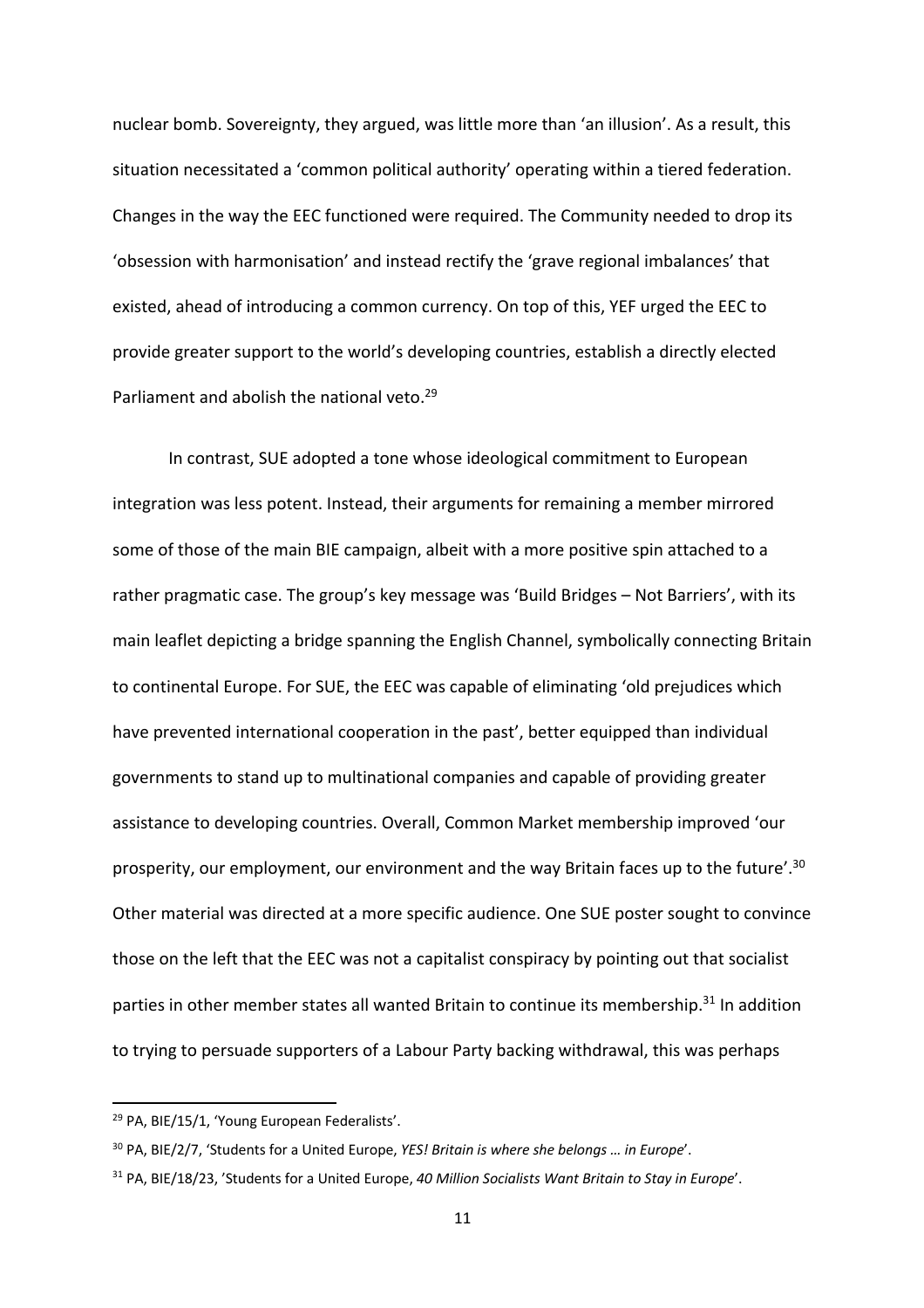nuclear bomb. Sovereignty, they argued, was little more than 'an illusion'. As a result, this situation necessitated a 'common political authority' operating within a tiered federation. Changes in the way the EEC functioned were required. The Community needed to drop its 'obsession with harmonisation' and instead rectify the 'grave regional imbalances' that existed, ahead of introducing a common currency. On top of this, YEF urged the EEC to provide greater support to the world's developing countries, establish a directly elected Parliament and abolish the national veto.<sup>29</sup>

In contrast, SUE adopted a tone whose ideological commitment to European integration was less potent. Instead, their arguments for remaining a member mirrored some of those of the main BIE campaign, albeit with a more positive spin attached to a rather pragmatic case. The group's key message was 'Build Bridges – Not Barriers', with its main leaflet depicting a bridge spanning the English Channel, symbolically connecting Britain to continental Europe. For SUE, the EEC was capable of eliminating 'old prejudices which have prevented international cooperation in the past', better equipped than individual governments to stand up to multinational companies and capable of providing greater assistance to developing countries. Overall, Common Market membership improved 'our prosperity, our employment, our environment and the way Britain faces up to the future'.30 Other material was directed at a more specific audience. One SUE poster sought to convince those on the left that the EEC was not a capitalist conspiracy by pointing out that socialist parties in other member states all wanted Britain to continue its membership.<sup>31</sup> In addition to trying to persuade supporters of a Labour Party backing withdrawal, this was perhaps

<sup>&</sup>lt;sup>29</sup> PA, BIE/15/1, 'Young European Federalists'.

<sup>30</sup> PA, BIE/2/7, 'Students for a United Europe, *YES! Britain is where she belongs … in Europe*'.

<sup>31</sup> PA, BIE/18/23, 'Students for a United Europe, *40 Million Socialists Want Britain to Stay in Europe*'.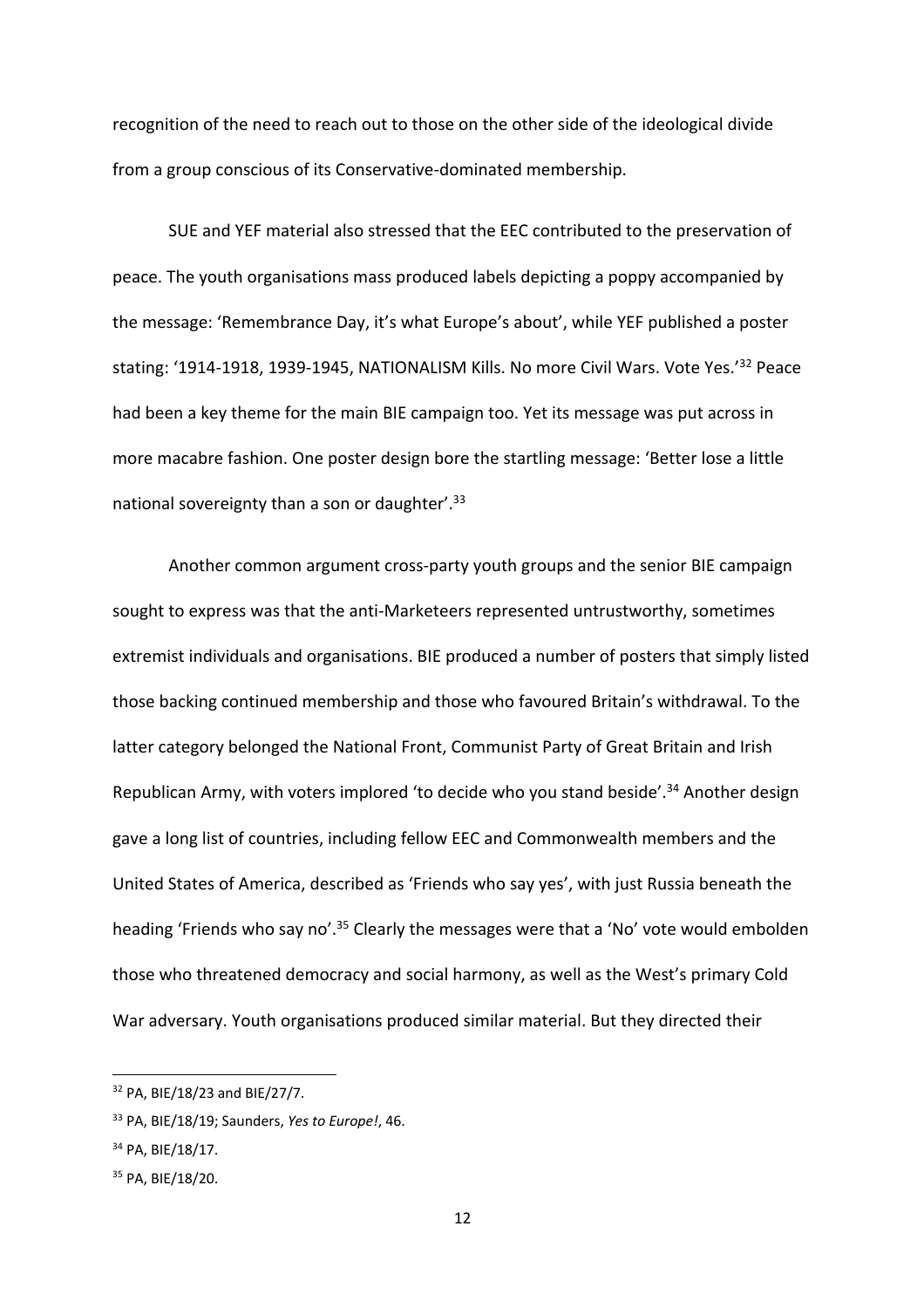recognition of the need to reach out to those on the other side of the ideological divide from a group conscious of its Conservative-dominated membership.

SUE and YEF material also stressed that the EEC contributed to the preservation of peace. The youth organisations mass produced labels depicting a poppy accompanied by the message: 'Remembrance Day, it's what Europe's about', while YEF published a poster stating: '1914-1918, 1939-1945, NATIONALISM Kills. No more Civil Wars. Vote Yes.'<sup>32</sup> Peace had been a key theme for the main BIE campaign too. Yet its message was put across in more macabre fashion. One poster design bore the startling message: 'Better lose a little national sovereignty than a son or daughter'.<sup>33</sup>

Another common argument cross-party youth groups and the senior BIE campaign sought to express was that the anti-Marketeers represented untrustworthy, sometimes extremist individuals and organisations. BIE produced a number of posters that simply listed those backing continued membership and those who favoured Britain's withdrawal. To the latter category belonged the National Front, Communist Party of Great Britain and Irish Republican Army, with voters implored 'to decide who you stand beside'.<sup>34</sup> Another design gave a long list of countries, including fellow EEC and Commonwealth members and the United States of America, described as 'Friends who say yes', with just Russia beneath the heading 'Friends who say no'.<sup>35</sup> Clearly the messages were that a 'No' vote would embolden those who threatened democracy and social harmony, as well as the West's primary Cold War adversary. Youth organisations produced similar material. But they directed their

<sup>32</sup> PA, BIE/18/23 and BIE/27/7.

<sup>33</sup> PA, BIE/18/19; Saunders, *Yes to Europe!*, 46.

<sup>34</sup> PA, BIE/18/17.

<sup>&</sup>lt;sup>35</sup> PA, BIE/18/20.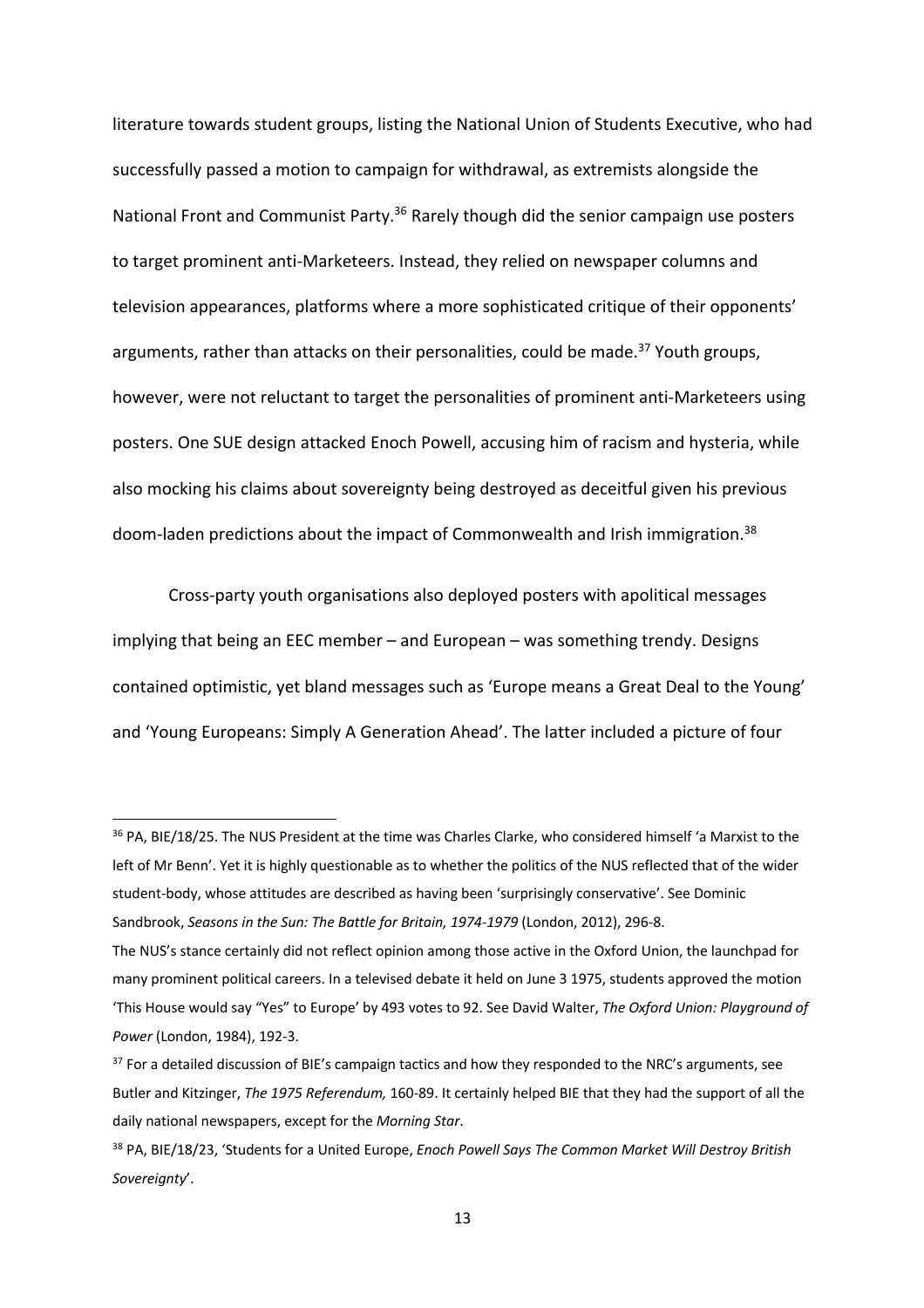literature towards student groups, listing the National Union of Students Executive, who had successfully passed a motion to campaign for withdrawal, as extremists alongside the National Front and Communist Party.<sup>36</sup> Rarely though did the senior campaign use posters to target prominent anti-Marketeers. Instead, they relied on newspaper columns and television appearances, platforms where a more sophisticated critique of their opponents' arguments, rather than attacks on their personalities, could be made.<sup>37</sup> Youth groups, however, were not reluctant to target the personalities of prominent anti-Marketeers using posters. One SUE design attacked Enoch Powell, accusing him of racism and hysteria, while also mocking his claims about sovereignty being destroyed as deceitful given his previous doom-laden predictions about the impact of Commonwealth and Irish immigration.<sup>38</sup>

Cross-party youth organisations also deployed posters with apolitical messages implying that being an EEC member – and European – was something trendy. Designs contained optimistic, yet bland messages such as 'Europe means a Great Deal to the Young' and 'Young Europeans: Simply A Generation Ahead'. The latter included a picture of four

<sup>&</sup>lt;sup>36</sup> PA, BIE/18/25. The NUS President at the time was Charles Clarke, who considered himself 'a Marxist to the left of Mr Benn'. Yet it is highly questionable as to whether the politics of the NUS reflected that of the wider student-body, whose attitudes are described as having been 'surprisingly conservative'. See Dominic Sandbrook, *Seasons in the Sun: The Battle for Britain, 1974-1979* (London, 2012), 296-8.

The NUS's stance certainly did not reflect opinion among those active in the Oxford Union, the launchpad for many prominent political careers. In a televised debate it held on June 3 1975, students approved the motion 'This House would say "Yes" to Europe' by 493 votes to 92. See David Walter, *The Oxford Union: Playground of Power* (London, 1984), 192-3.

 $37$  For a detailed discussion of BIE's campaign tactics and how they responded to the NRC's arguments, see Butler and Kitzinger, *The 1975 Referendum,* 160-89. It certainly helped BIE that they had the support of all the daily national newspapers, except for the *Morning Star*.

<sup>38</sup> PA, BIE/18/23, 'Students for a United Europe, *Enoch Powell Says The Common Market Will Destroy British Sovereignty*'.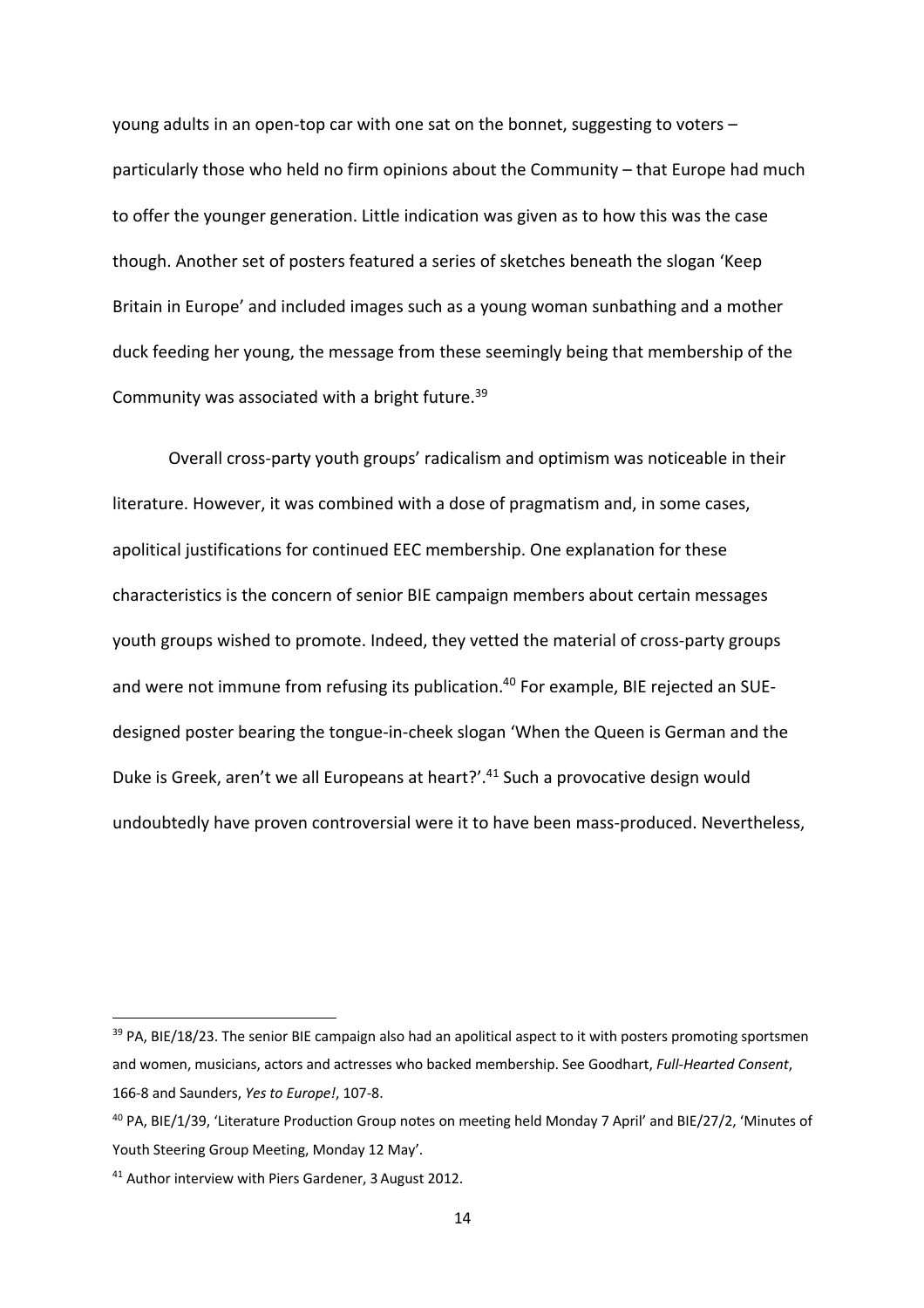young adults in an open-top car with one sat on the bonnet, suggesting to voters – particularly those who held no firm opinions about the Community – that Europe had much to offer the younger generation. Little indication was given as to how this was the case though. Another set of posters featured a series of sketches beneath the slogan 'Keep Britain in Europe' and included images such as a young woman sunbathing and a mother duck feeding her young, the message from these seemingly being that membership of the Community was associated with a bright future.39

Overall cross-party youth groups' radicalism and optimism was noticeable in their literature. However, it was combined with a dose of pragmatism and, in some cases, apolitical justifications for continued EEC membership. One explanation for these characteristics is the concern of senior BIE campaign members about certain messages youth groups wished to promote. Indeed, they vetted the material of cross-party groups and were not immune from refusing its publication.<sup>40</sup> For example, BIE rejected an SUEdesigned poster bearing the tongue-in-cheek slogan 'When the Queen is German and the Duke is Greek, aren't we all Europeans at heart?'.<sup>41</sup> Such a provocative design would undoubtedly have proven controversial were it to have been mass-produced. Nevertheless,

<sup>39</sup> PA, BIE/18/23. The senior BIE campaign also had an apolitical aspect to it with posters promoting sportsmen and women, musicians, actors and actresses who backed membership. See Goodhart, *Full-Hearted Consent*, 166-8 and Saunders, *Yes to Europe!*, 107-8.

<sup>40</sup> PA, BIE/1/39, 'Literature Production Group notes on meeting held Monday 7 April' and BIE/27/2, 'Minutes of Youth Steering Group Meeting, Monday 12 May'.

<sup>41</sup> Author interview with Piers Gardener, 3August 2012.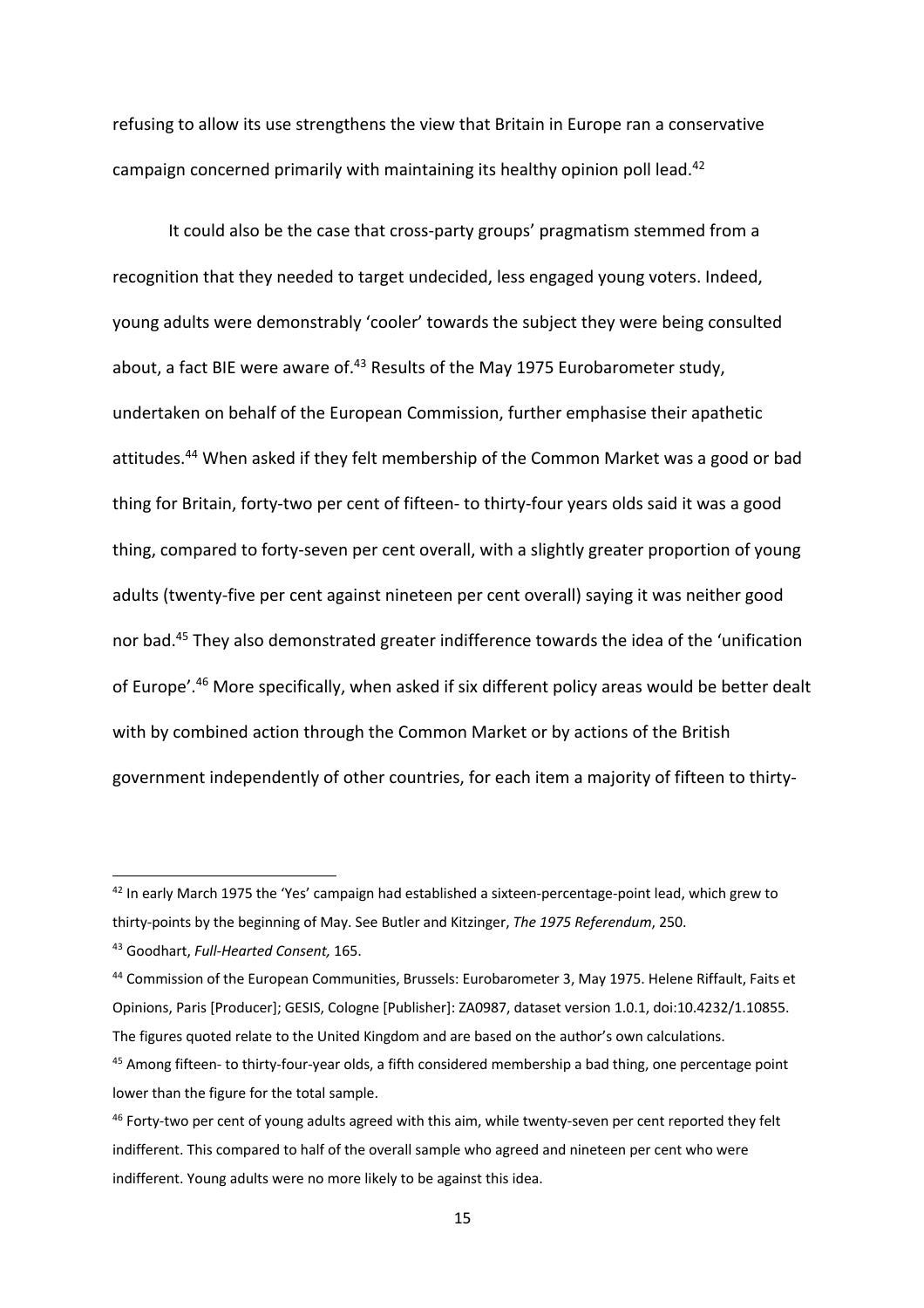refusing to allow its use strengthens the view that Britain in Europe ran a conservative campaign concerned primarily with maintaining its healthy opinion poll lead.<sup>42</sup>

It could also be the case that cross-party groups' pragmatism stemmed from a recognition that they needed to target undecided, less engaged young voters. Indeed, young adults were demonstrably 'cooler' towards the subject they were being consulted about, a fact BIE were aware of.<sup>43</sup> Results of the May 1975 Eurobarometer study, undertaken on behalf of the European Commission, further emphasise their apathetic attitudes.<sup>44</sup> When asked if they felt membership of the Common Market was a good or bad thing for Britain, forty-two per cent of fifteen- to thirty-four years olds said it was a good thing, compared to forty-seven per cent overall, with a slightly greater proportion of young adults (twenty-five per cent against nineteen per cent overall) saying it was neither good nor bad.45 They also demonstrated greater indifference towards the idea of the 'unification of Europe'.46 More specifically, when asked if six different policy areas would be better dealt with by combined action through the Common Market or by actions of the British government independently of other countries, for each item a majority of fifteen to thirty-

<sup>&</sup>lt;sup>42</sup> In early March 1975 the 'Yes' campaign had established a sixteen-percentage-point lead, which grew to thirty-points by the beginning of May. See Butler and Kitzinger, *The 1975 Referendum*, 250.

<sup>43</sup> Goodhart, *Full-Hearted Consent,* 165.

<sup>44</sup> Commission of the European Communities, Brussels: Eurobarometer 3, May 1975. Helene Riffault, Faits et Opinions, Paris [Producer]; GESIS, Cologne [Publisher]: ZA0987, dataset version 1.0.1, doi:10.4232/1.10855. The figures quoted relate to the United Kingdom and are based on the author's own calculations.

<sup>45</sup> Among fifteen- to thirty-four-year olds, a fifth considered membership a bad thing, one percentage point lower than the figure for the total sample.

<sup>&</sup>lt;sup>46</sup> Forty-two per cent of young adults agreed with this aim, while twenty-seven per cent reported they felt indifferent. This compared to half of the overall sample who agreed and nineteen per cent who were indifferent. Young adults were no more likely to be against this idea.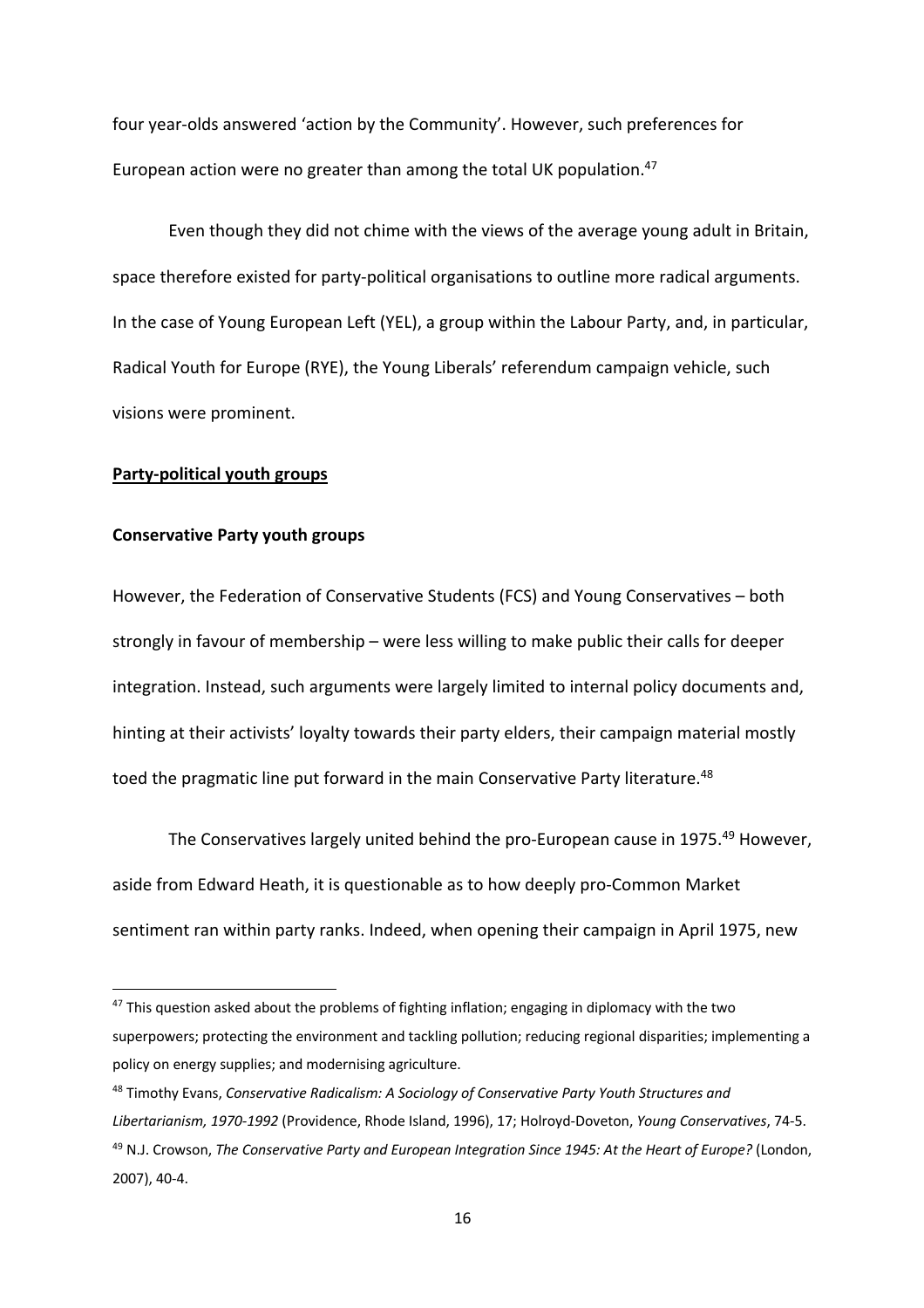four year-olds answered 'action by the Community'. However, such preferences for European action were no greater than among the total UK population.<sup>47</sup>

Even though they did not chime with the views of the average young adult in Britain, space therefore existed for party-political organisations to outline more radical arguments. In the case of Young European Left (YEL), a group within the Labour Party, and, in particular, Radical Youth for Europe (RYE), the Young Liberals' referendum campaign vehicle, such visions were prominent.

# **Party-political youth groups**

# **Conservative Party youth groups**

However, the Federation of Conservative Students (FCS) and Young Conservatives – both strongly in favour of membership – were less willing to make public their calls for deeper integration. Instead, such arguments were largely limited to internal policy documents and, hinting at their activists' loyalty towards their party elders, their campaign material mostly toed the pragmatic line put forward in the main Conservative Party literature.<sup>48</sup>

The Conservatives largely united behind the pro-European cause in 1975.<sup>49</sup> However, aside from Edward Heath, it is questionable as to how deeply pro-Common Market sentiment ran within party ranks. Indeed, when opening their campaign in April 1975, new

 $47$  This question asked about the problems of fighting inflation; engaging in diplomacy with the two superpowers; protecting the environment and tackling pollution; reducing regional disparities; implementing a policy on energy supplies; and modernising agriculture.

<sup>48</sup> Timothy Evans, *Conservative Radicalism: A Sociology of Conservative Party Youth Structures and Libertarianism, 1970-1992* (Providence, Rhode Island, 1996), 17; Holroyd-Doveton, *Young Conservatives*, 74-5. <sup>49</sup> N.J. Crowson, *The Conservative Party and European Integration Since 1945: At the Heart of Europe?* (London, 2007), 40-4.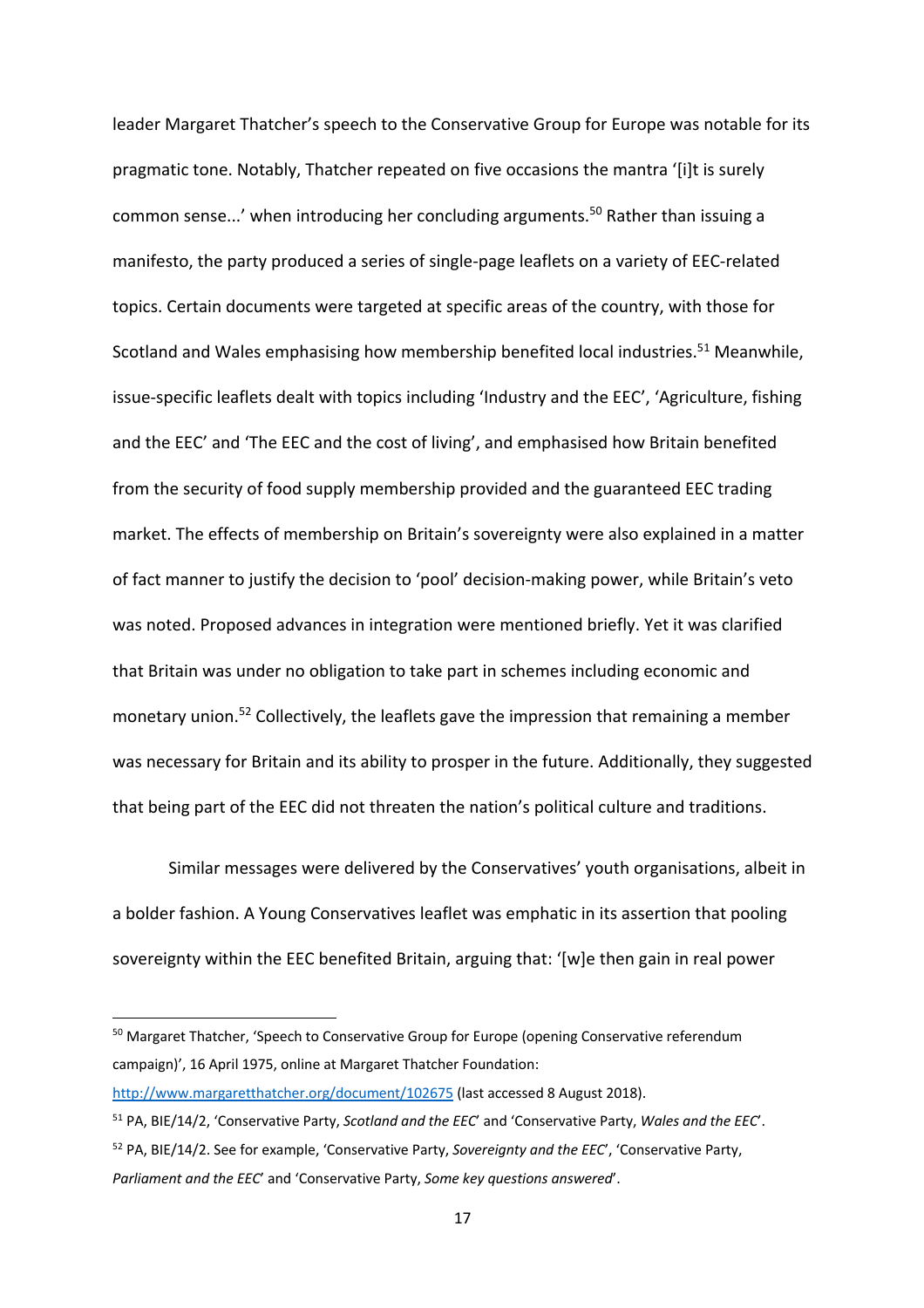leader Margaret Thatcher's speech to the Conservative Group for Europe was notable for its pragmatic tone. Notably, Thatcher repeated on five occasions the mantra '[i]t is surely common sense...' when introducing her concluding arguments.<sup>50</sup> Rather than issuing a manifesto, the party produced a series of single-page leaflets on a variety of EEC-related topics. Certain documents were targeted at specific areas of the country, with those for Scotland and Wales emphasising how membership benefited local industries.<sup>51</sup> Meanwhile, issue-specific leaflets dealt with topics including 'Industry and the EEC', 'Agriculture, fishing and the EEC' and 'The EEC and the cost of living', and emphasised how Britain benefited from the security of food supply membership provided and the guaranteed EEC trading market. The effects of membership on Britain's sovereignty were also explained in a matter of fact manner to justify the decision to 'pool' decision-making power, while Britain's veto was noted. Proposed advances in integration were mentioned briefly. Yet it was clarified that Britain was under no obligation to take part in schemes including economic and monetary union.<sup>52</sup> Collectively, the leaflets gave the impression that remaining a member was necessary for Britain and its ability to prosper in the future. Additionally, they suggested that being part of the EEC did not threaten the nation's political culture and traditions.

Similar messages were delivered by the Conservatives' youth organisations, albeit in a bolder fashion. A Young Conservatives leaflet was emphatic in its assertion that pooling sovereignty within the EEC benefited Britain, arguing that: '[w]e then gain in real power

<sup>&</sup>lt;sup>50</sup> Margaret Thatcher, 'Speech to Conservative Group for Europe (opening Conservative referendum campaign)', 16 April 1975, online at Margaret Thatcher Foundation:

http://www.margaretthatcher.org/document/102675 (last accessed 8 August 2018).

<sup>51</sup> PA, BIE/14/2, 'Conservative Party, *Scotland and the EEC*' and 'Conservative Party, *Wales and the EEC*'.

<sup>52</sup> PA, BIE/14/2. See for example, 'Conservative Party, *Sovereignty and the EEC*', 'Conservative Party, *Parliament and the EEC*' and 'Conservative Party, *Some key questions answered*'.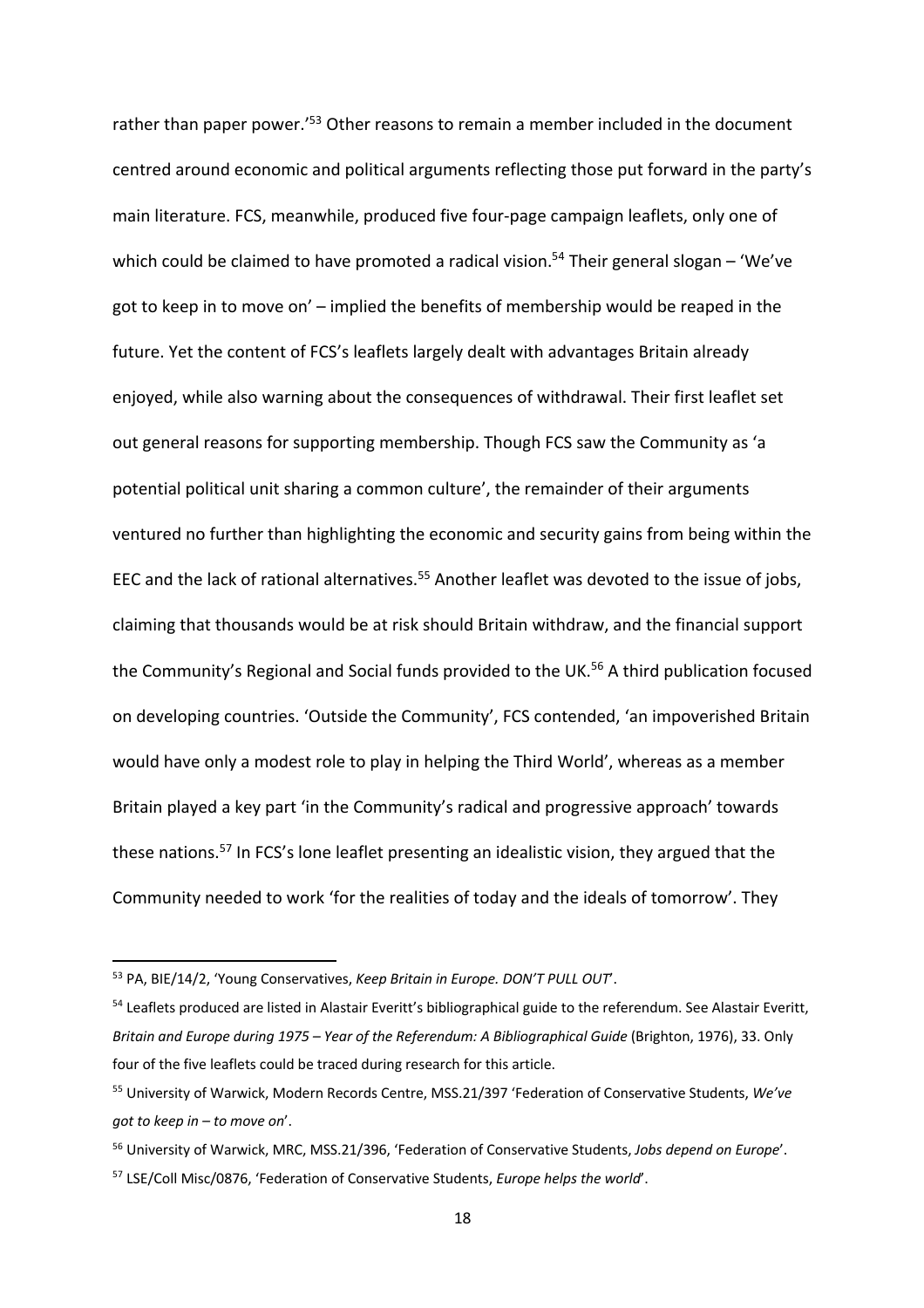rather than paper power.<sup>'53</sup> Other reasons to remain a member included in the document centred around economic and political arguments reflecting those put forward in the party's main literature. FCS, meanwhile, produced five four-page campaign leaflets, only one of which could be claimed to have promoted a radical vision.<sup>54</sup> Their general slogan – 'We've got to keep in to move on' – implied the benefits of membership would be reaped in the future. Yet the content of FCS's leaflets largely dealt with advantages Britain already enjoyed, while also warning about the consequences of withdrawal. Their first leaflet set out general reasons for supporting membership. Though FCS saw the Community as 'a potential political unit sharing a common culture', the remainder of their arguments ventured no further than highlighting the economic and security gains from being within the EEC and the lack of rational alternatives.<sup>55</sup> Another leaflet was devoted to the issue of jobs, claiming that thousands would be at risk should Britain withdraw, and the financial support the Community's Regional and Social funds provided to the UK.<sup>56</sup> A third publication focused on developing countries. 'Outside the Community', FCS contended, 'an impoverished Britain would have only a modest role to play in helping the Third World', whereas as a member Britain played a key part 'in the Community's radical and progressive approach' towards these nations. <sup>57</sup> In FCS's lone leaflet presenting an idealistic vision, they argued that the Community needed to work 'for the realities of today and the ideals of tomorrow'. They

<sup>53</sup> PA, BIE/14/2, 'Young Conservatives, *Keep Britain in Europe. DON'T PULL OUT*'.

<sup>&</sup>lt;sup>54</sup> Leaflets produced are listed in Alastair Everitt's bibliographical guide to the referendum. See Alastair Everitt, *Britain and Europe during 1975 – Year of the Referendum: A Bibliographical Guide* (Brighton, 1976), 33. Only four of the five leaflets could be traced during research for this article.

<sup>55</sup> University of Warwick, Modern Records Centre, MSS.21/397 'Federation of Conservative Students, *We've got to keep in – to move on*'.

<sup>56</sup> University of Warwick, MRC, MSS.21/396, 'Federation of Conservative Students, *Jobs depend on Europe*'.

<sup>57</sup> LSE/Coll Misc/0876, 'Federation of Conservative Students, *Europe helps the world*'.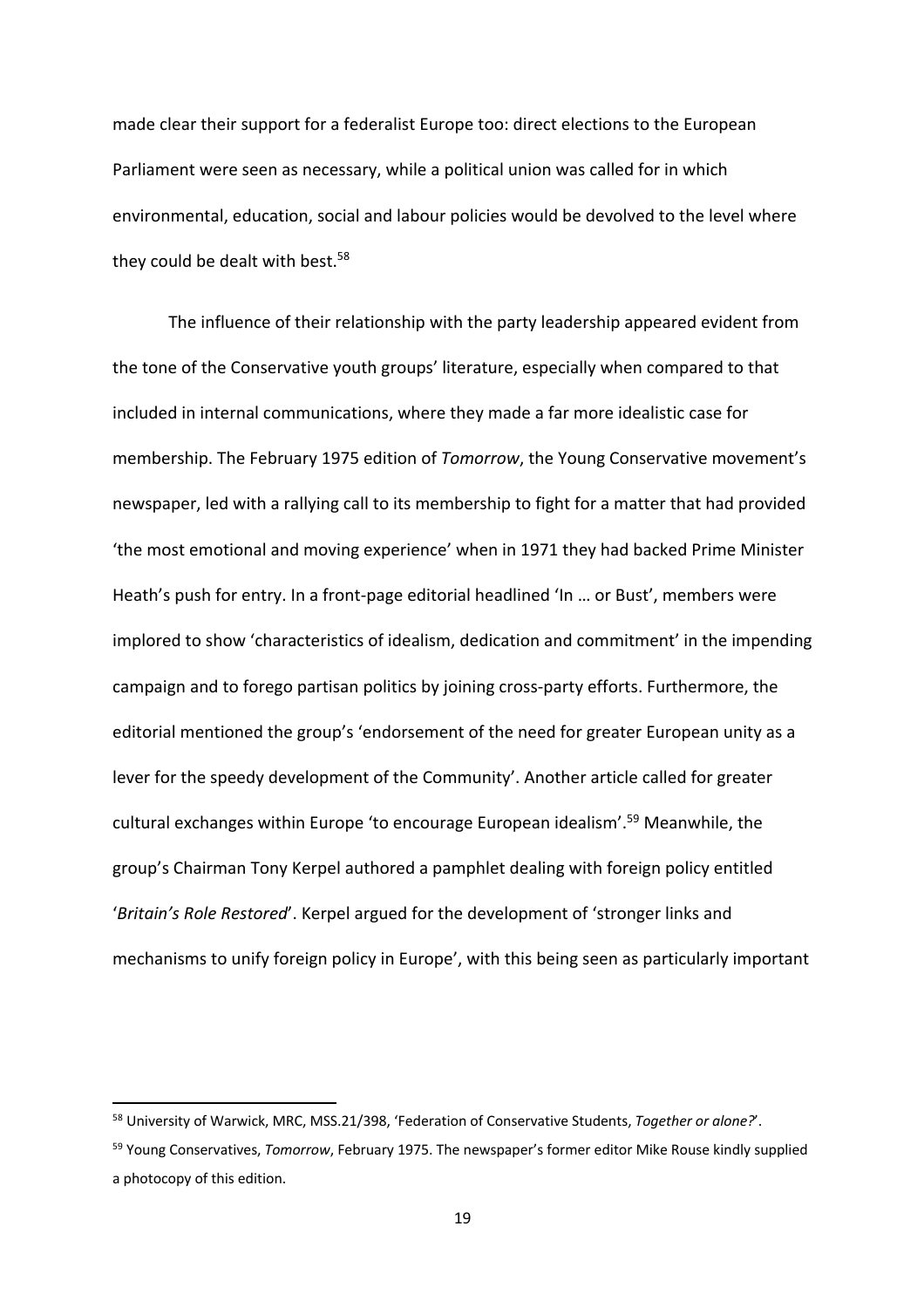made clear their support for a federalist Europe too: direct elections to the European Parliament were seen as necessary, while a political union was called for in which environmental, education, social and labour policies would be devolved to the level where they could be dealt with best.<sup>58</sup>

The influence of their relationship with the party leadership appeared evident from the tone of the Conservative youth groups' literature, especially when compared to that included in internal communications, where they made a far more idealistic case for membership. The February 1975 edition of *Tomorrow*, the Young Conservative movement's newspaper, led with a rallying call to its membership to fight for a matter that had provided 'the most emotional and moving experience' when in 1971 they had backed Prime Minister Heath's push for entry. In a front-page editorial headlined 'In … or Bust', members were implored to show 'characteristics of idealism, dedication and commitment' in the impending campaign and to forego partisan politics by joining cross-party efforts. Furthermore, the editorial mentioned the group's 'endorsement of the need for greater European unity as a lever for the speedy development of the Community'. Another article called for greater cultural exchanges within Europe 'to encourage European idealism'.<sup>59</sup> Meanwhile, the group's Chairman Tony Kerpel authored a pamphlet dealing with foreign policy entitled '*Britain's Role Restored*'. Kerpel argued for the development of 'stronger links and mechanisms to unify foreign policy in Europe', with this being seen as particularly important

<sup>58</sup> University of Warwick, MRC, MSS.21/398, 'Federation of Conservative Students, *Together or alone?*'.

<sup>59</sup> Young Conservatives, *Tomorrow*, February 1975. The newspaper's former editor Mike Rouse kindly supplied a photocopy of this edition.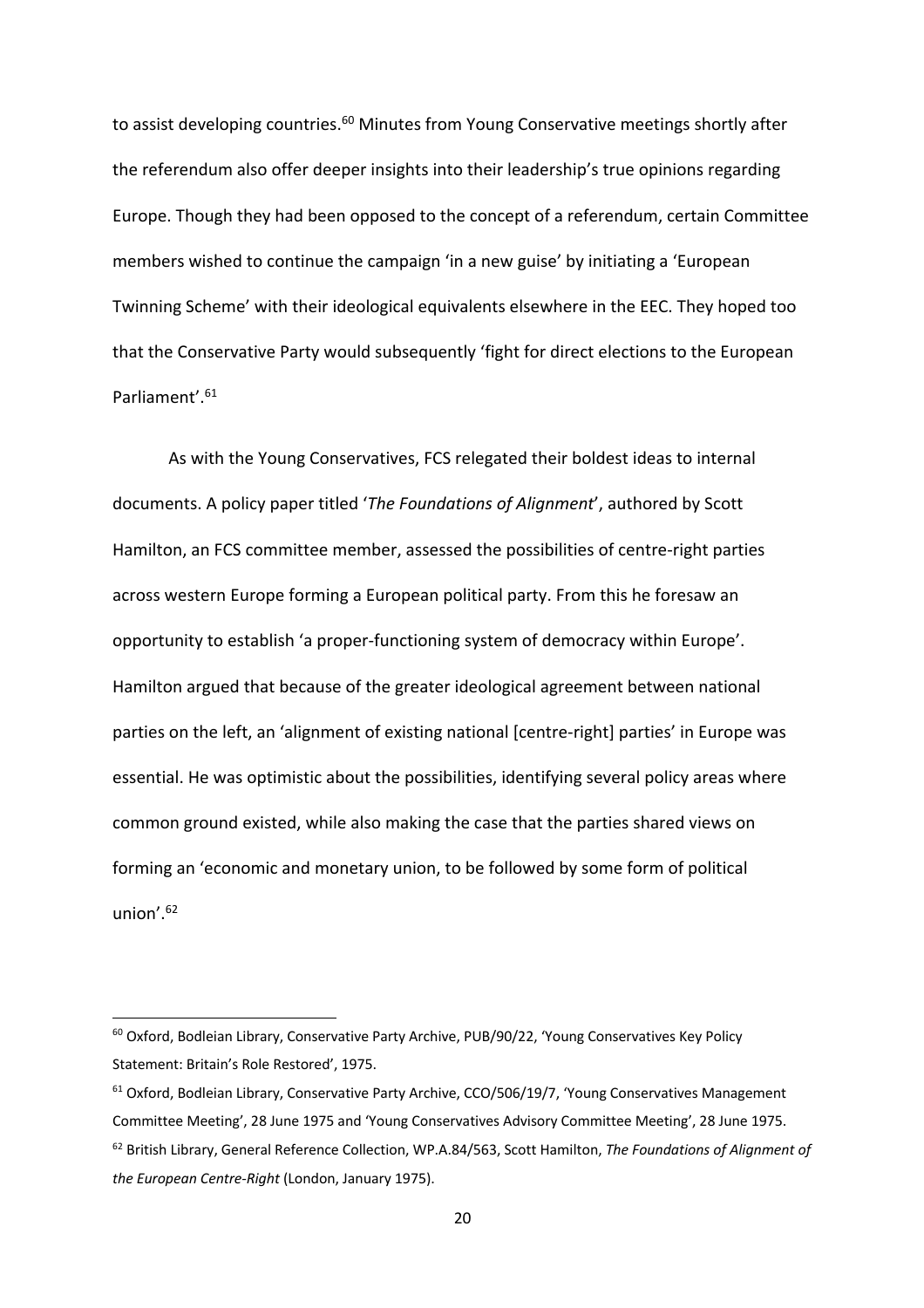to assist developing countries.<sup>60</sup> Minutes from Young Conservative meetings shortly after the referendum also offer deeper insights into their leadership's true opinions regarding Europe. Though they had been opposed to the concept of a referendum, certain Committee members wished to continue the campaign 'in a new guise' by initiating a 'European Twinning Scheme' with their ideological equivalents elsewhere in the EEC. They hoped too that the Conservative Party would subsequently 'fight for direct elections to the European Parliament'.<sup>61</sup>

As with the Young Conservatives, FCS relegated their boldest ideas to internal documents. A policy paper titled '*The Foundations of Alignment*', authored by Scott Hamilton, an FCS committee member, assessed the possibilities of centre-right parties across western Europe forming a European political party. From this he foresaw an opportunity to establish 'a proper-functioning system of democracy within Europe'. Hamilton argued that because of the greater ideological agreement between national parties on the left, an 'alignment of existing national [centre-right] parties' in Europe was essential. He was optimistic about the possibilities, identifying several policy areas where common ground existed, while also making the case that the parties shared views on forming an 'economic and monetary union, to be followed by some form of political union'.62

<sup>&</sup>lt;sup>60</sup> Oxford, Bodleian Library, Conservative Party Archive, PUB/90/22, 'Young Conservatives Key Policy Statement: Britain's Role Restored', 1975.

<sup>&</sup>lt;sup>61</sup> Oxford, Bodleian Library, Conservative Party Archive, CCO/506/19/7, 'Young Conservatives Management Committee Meeting', 28 June 1975 and 'Young Conservatives Advisory Committee Meeting', 28 June 1975. <sup>62</sup> British Library, General Reference Collection, WP.A.84/563, Scott Hamilton, *The Foundations of Alignment of the European Centre-Right* (London, January 1975).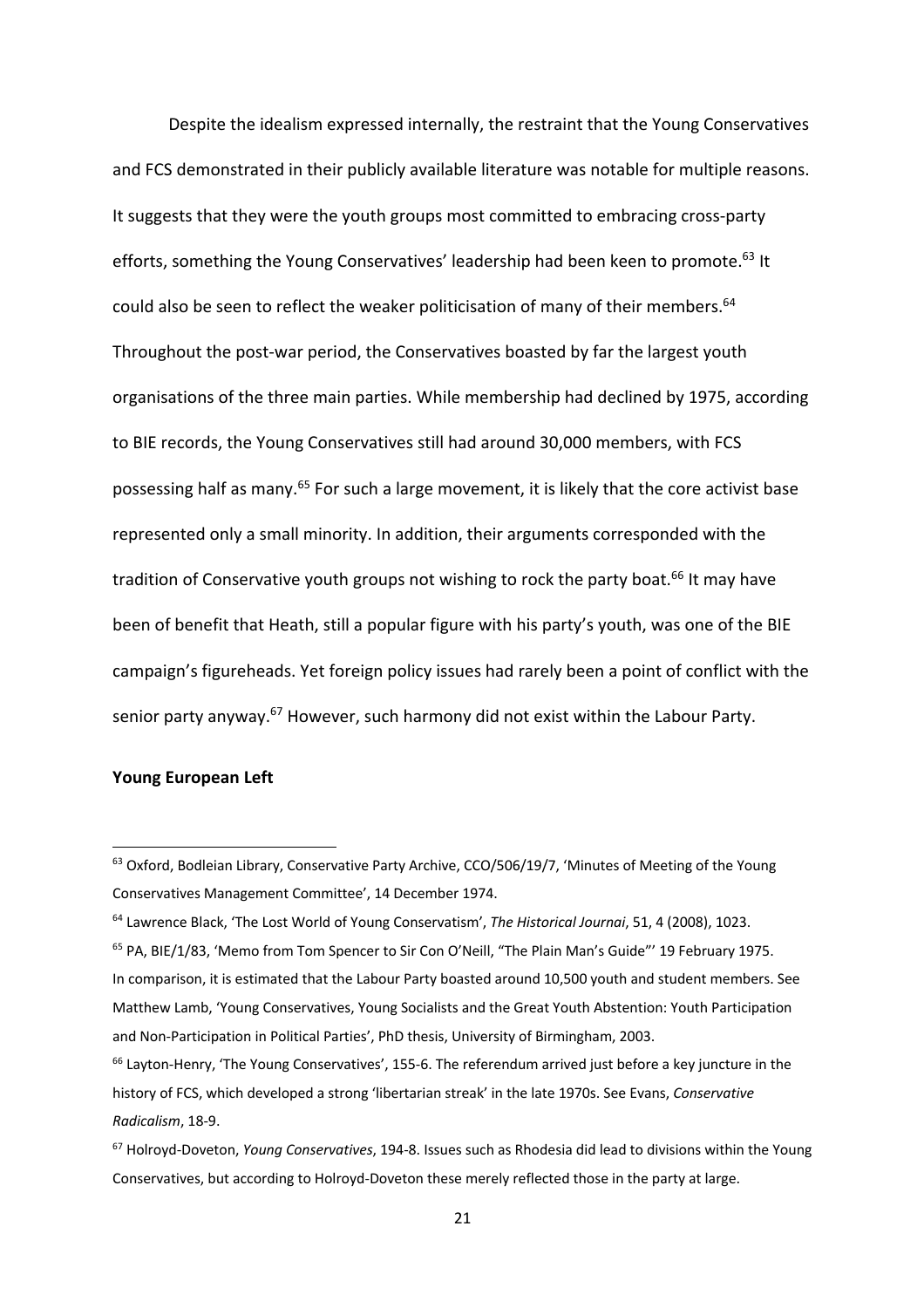Despite the idealism expressed internally, the restraint that the Young Conservatives and FCS demonstrated in their publicly available literature was notable for multiple reasons. It suggests that they were the youth groups most committed to embracing cross-party efforts, something the Young Conservatives' leadership had been keen to promote.<sup>63</sup> It could also be seen to reflect the weaker politicisation of many of their members.<sup>64</sup> Throughout the post-war period, the Conservatives boasted by far the largest youth organisations of the three main parties. While membership had declined by 1975, according to BIE records, the Young Conservatives still had around 30,000 members, with FCS possessing half as many.<sup>65</sup> For such a large movement, it is likely that the core activist base represented only a small minority. In addition, their arguments corresponded with the tradition of Conservative youth groups not wishing to rock the party boat.<sup>66</sup> It may have been of benefit that Heath, still a popular figure with his party's youth, was one of the BIE campaign's figureheads. Yet foreign policy issues had rarely been a point of conflict with the senior party anyway.<sup>67</sup> However, such harmony did not exist within the Labour Party.

# **Young European Left**

<sup>&</sup>lt;sup>63</sup> Oxford, Bodleian Library, Conservative Party Archive, CCO/506/19/7, 'Minutes of Meeting of the Young Conservatives Management Committee', 14 December 1974.

<sup>64</sup> Lawrence Black, 'The Lost World of Young Conservatism', *The Historical Journai*, 51, 4 (2008), 1023.

<sup>&</sup>lt;sup>65</sup> PA, BIE/1/83, 'Memo from Tom Spencer to Sir Con O'Neill, "The Plain Man's Guide"' 19 February 1975. In comparison, it is estimated that the Labour Party boasted around 10,500 youth and student members. See Matthew Lamb, 'Young Conservatives, Young Socialists and the Great Youth Abstention: Youth Participation and Non-Participation in Political Parties', PhD thesis, University of Birmingham, 2003.

 $66$  Layton-Henry, 'The Young Conservatives', 155-6. The referendum arrived just before a key juncture in the history of FCS, which developed a strong 'libertarian streak' in the late 1970s. See Evans, *Conservative Radicalism*, 18-9.

<sup>67</sup> Holroyd-Doveton, *Young Conservatives*, 194-8. Issues such as Rhodesia did lead to divisions within the Young Conservatives, but according to Holroyd-Doveton these merely reflected those in the party at large.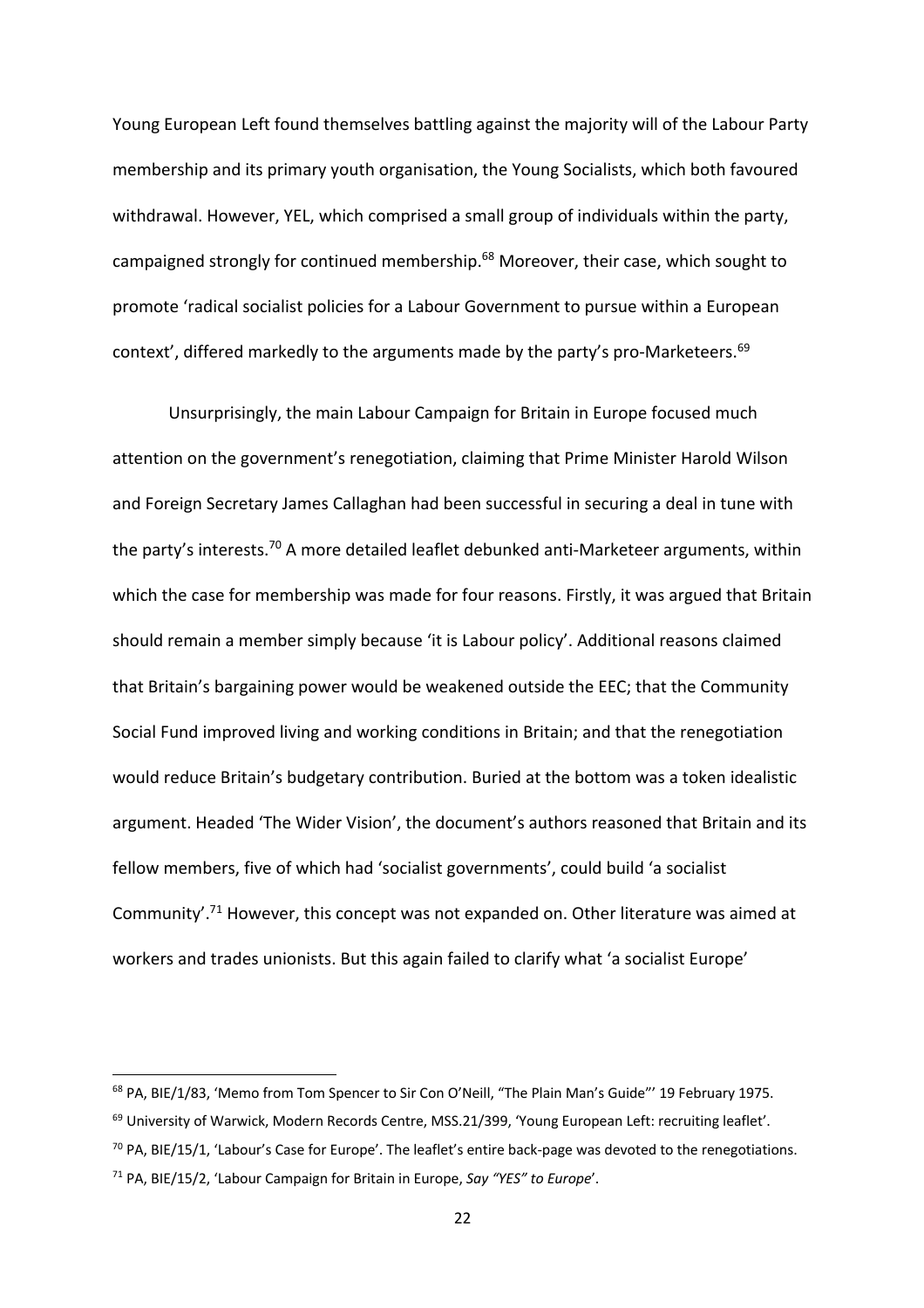Young European Left found themselves battling against the majority will of the Labour Party membership and its primary youth organisation, the Young Socialists, which both favoured withdrawal. However, YEL, which comprised a small group of individuals within the party, campaigned strongly for continued membership.<sup>68</sup> Moreover, their case, which sought to promote 'radical socialist policies for a Labour Government to pursue within a European context', differed markedly to the arguments made by the party's pro-Marketeers.<sup>69</sup>

Unsurprisingly, the main Labour Campaign for Britain in Europe focused much attention on the government's renegotiation, claiming that Prime Minister Harold Wilson and Foreign Secretary James Callaghan had been successful in securing a deal in tune with the party's interests.<sup>70</sup> A more detailed leaflet debunked anti-Marketeer arguments, within which the case for membership was made for four reasons. Firstly, it was argued that Britain should remain a member simply because 'it is Labour policy'. Additional reasons claimed that Britain's bargaining power would be weakened outside the EEC; that the Community Social Fund improved living and working conditions in Britain; and that the renegotiation would reduce Britain's budgetary contribution. Buried at the bottom was a token idealistic argument. Headed 'The Wider Vision', the document's authors reasoned that Britain and its fellow members, five of which had 'socialist governments', could build 'a socialist Community'.71 However, this concept was not expanded on. Other literature was aimed at workers and trades unionists. But this again failed to clarify what 'a socialist Europe'

<sup>&</sup>lt;sup>68</sup> PA, BIE/1/83, 'Memo from Tom Spencer to Sir Con O'Neill, "The Plain Man's Guide"' 19 February 1975.

 $69$  University of Warwick, Modern Records Centre, MSS.21/399, 'Young European Left: recruiting leaflet'.

 $70$  PA, BIE/15/1, 'Labour's Case for Europe'. The leaflet's entire back-page was devoted to the renegotiations.

<sup>71</sup> PA, BIE/15/2, 'Labour Campaign for Britain in Europe, *Say "YES" to Europe*'.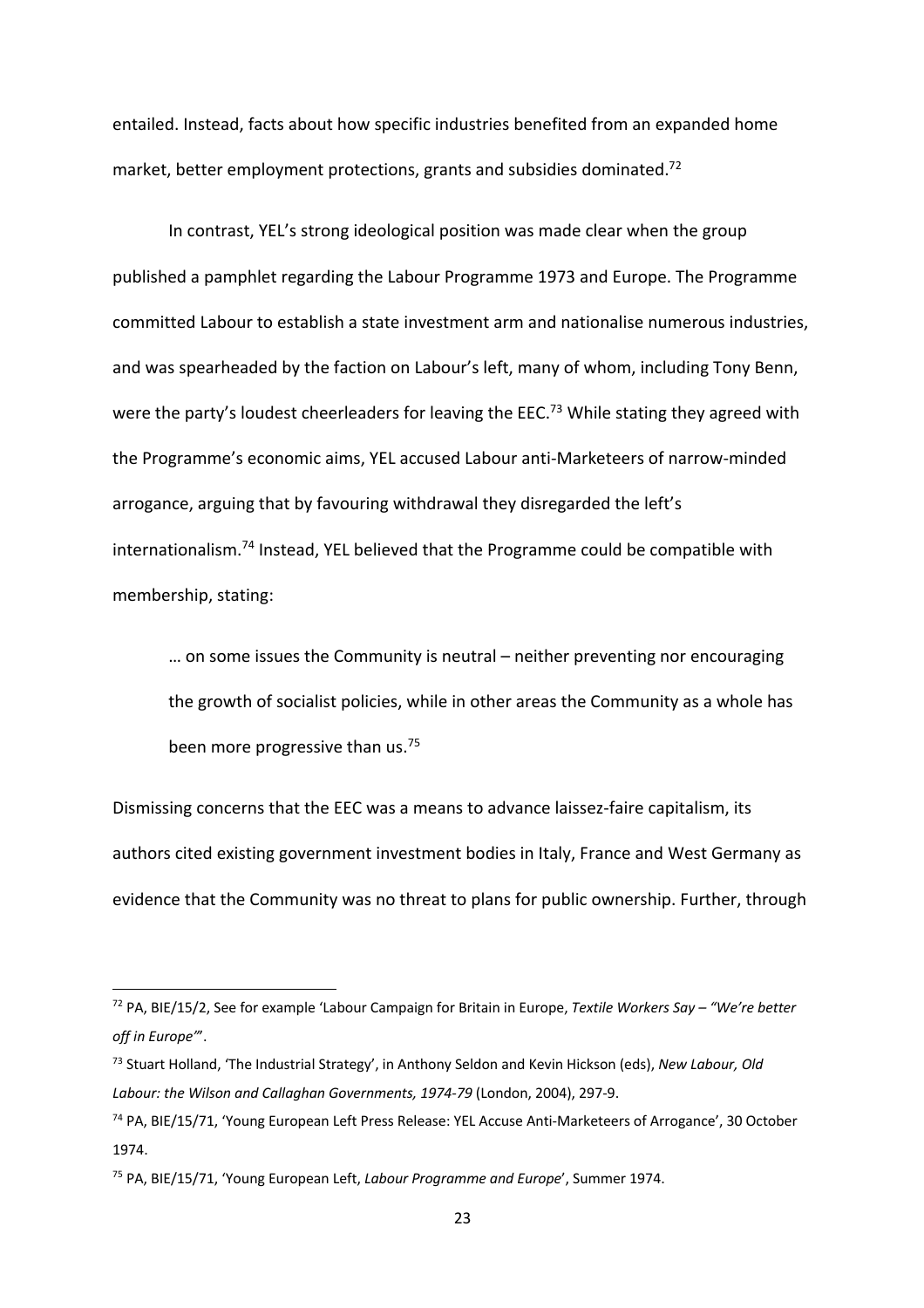entailed. Instead, facts about how specific industries benefited from an expanded home market, better employment protections, grants and subsidies dominated.<sup>72</sup>

In contrast, YEL's strong ideological position was made clear when the group published a pamphlet regarding the Labour Programme 1973 and Europe. The Programme committed Labour to establish a state investment arm and nationalise numerous industries, and was spearheaded by the faction on Labour's left, many of whom, including Tony Benn, were the party's loudest cheerleaders for leaving the EEC.<sup>73</sup> While stating they agreed with the Programme's economic aims, YEL accused Labour anti-Marketeers of narrow-minded arrogance, arguing that by favouring withdrawal they disregarded the left's internationalism.74 Instead, YEL believed that the Programme could be compatible with membership, stating:

… on some issues the Community is neutral – neither preventing nor encouraging the growth of socialist policies, while in other areas the Community as a whole has been more progressive than us.<sup>75</sup>

Dismissing concerns that the EEC was a means to advance laissez-faire capitalism, its authors cited existing government investment bodies in Italy, France and West Germany as evidence that the Community was no threat to plans for public ownership. Further, through

<sup>72</sup> PA, BIE/15/2, See for example 'Labour Campaign for Britain in Europe, *Textile Workers Say – "We're better off in Europe"*'.

<sup>73</sup> Stuart Holland, 'The Industrial Strategy', in Anthony Seldon and Kevin Hickson (eds), *New Labour, Old Labour: the Wilson and Callaghan Governments, 1974-79* (London, 2004), 297-9.

<sup>74</sup> PA, BIE/15/71, 'Young European Left Press Release: YEL Accuse Anti-Marketeers of Arrogance', 30 October 1974.

<sup>75</sup> PA, BIE/15/71, 'Young European Left, *Labour Programme and Europe*', Summer 1974.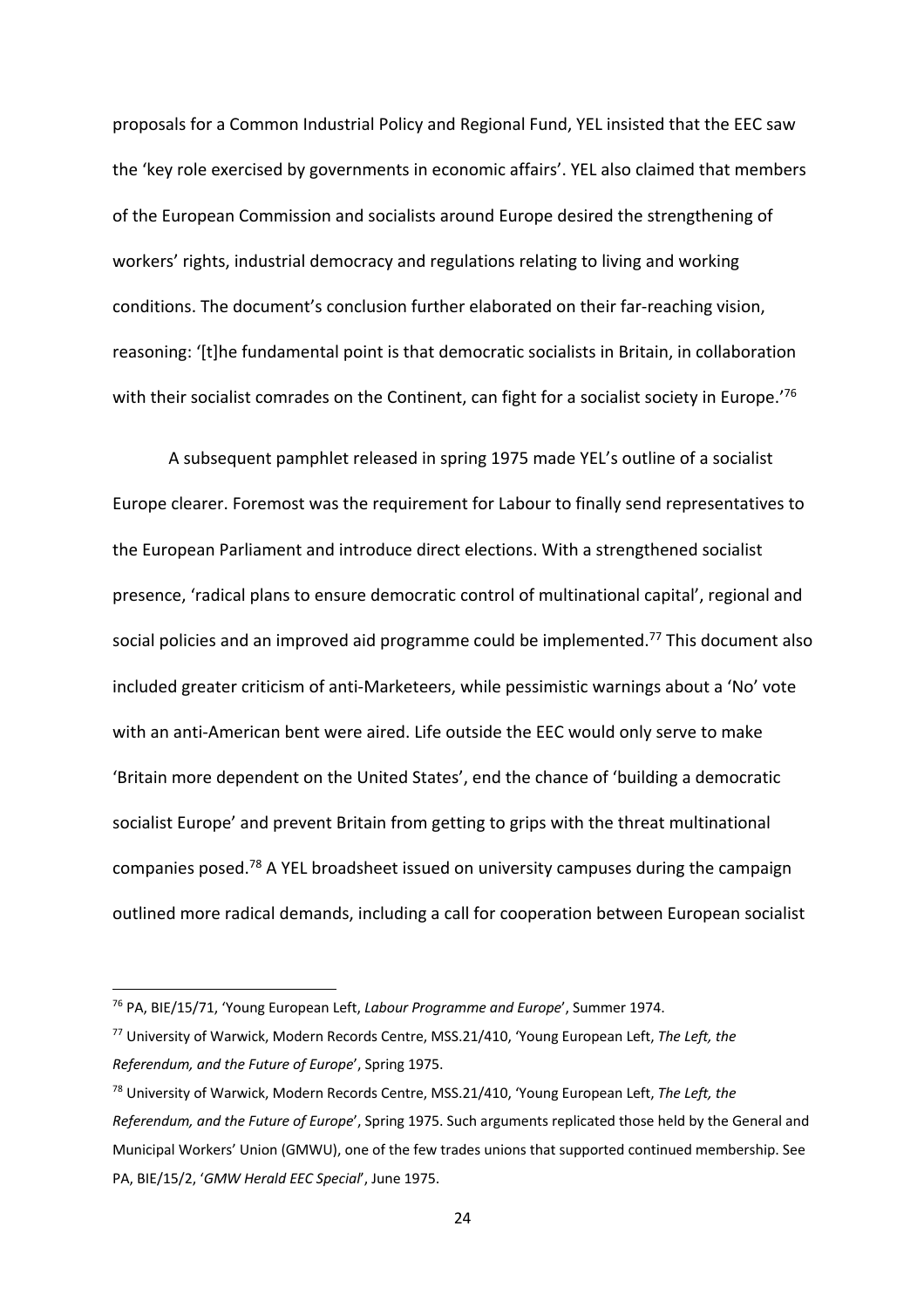proposals for a Common Industrial Policy and Regional Fund, YEL insisted that the EEC saw the 'key role exercised by governments in economic affairs'. YEL also claimed that members of the European Commission and socialists around Europe desired the strengthening of workers' rights, industrial democracy and regulations relating to living and working conditions. The document's conclusion further elaborated on their far-reaching vision, reasoning: '[t]he fundamental point is that democratic socialists in Britain, in collaboration with their socialist comrades on the Continent, can fight for a socialist society in Europe.<sup>'76</sup>

A subsequent pamphlet released in spring 1975 made YEL's outline of a socialist Europe clearer. Foremost was the requirement for Labour to finally send representatives to the European Parliament and introduce direct elections. With a strengthened socialist presence, 'radical plans to ensure democratic control of multinational capital', regional and social policies and an improved aid programme could be implemented.<sup>77</sup> This document also included greater criticism of anti-Marketeers, while pessimistic warnings about a 'No' vote with an anti-American bent were aired. Life outside the EEC would only serve to make 'Britain more dependent on the United States', end the chance of 'building a democratic socialist Europe' and prevent Britain from getting to grips with the threat multinational companies posed.78 A YEL broadsheet issued on university campuses during the campaign outlined more radical demands, including a call for cooperation between European socialist

<sup>76</sup> PA, BIE/15/71, 'Young European Left, *Labour Programme and Europe*', Summer 1974.

<sup>77</sup> University of Warwick, Modern Records Centre, MSS.21/410, 'Young European Left, *The Left, the Referendum, and the Future of Europe*', Spring 1975.

<sup>78</sup> University of Warwick, Modern Records Centre, MSS.21/410, 'Young European Left, *The Left, the Referendum, and the Future of Europe*', Spring 1975. Such arguments replicated those held by the General and Municipal Workers' Union (GMWU), one of the few trades unions that supported continued membership. See PA, BIE/15/2, '*GMW Herald EEC Special*', June 1975.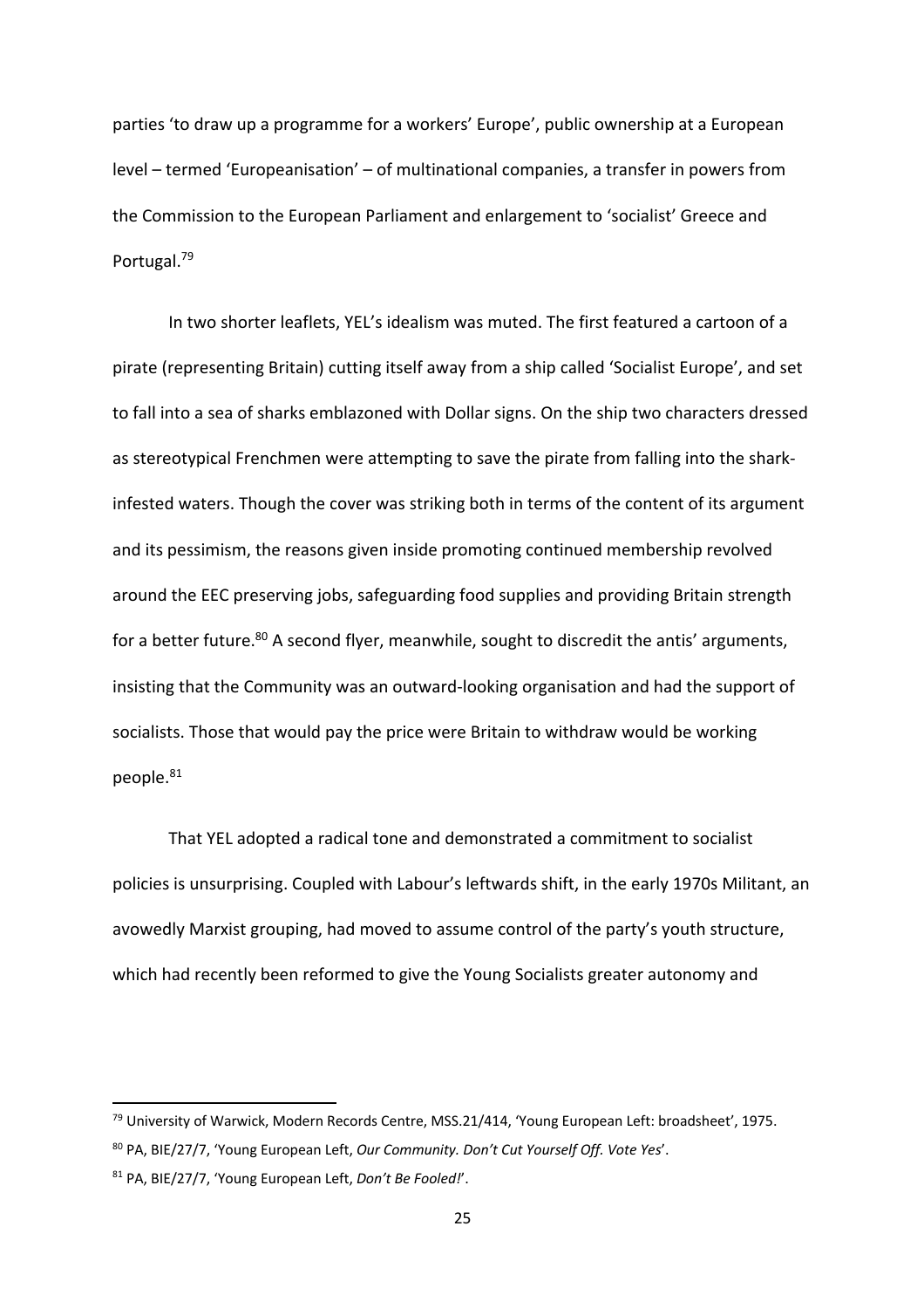parties 'to draw up a programme for a workers' Europe', public ownership at a European level – termed 'Europeanisation' – of multinational companies, a transfer in powers from the Commission to the European Parliament and enlargement to 'socialist' Greece and Portugal. 79

In two shorter leaflets, YEL's idealism was muted. The first featured a cartoon of a pirate (representing Britain) cutting itself away from a ship called 'Socialist Europe', and set to fall into a sea of sharks emblazoned with Dollar signs. On the ship two characters dressed as stereotypical Frenchmen were attempting to save the pirate from falling into the sharkinfested waters. Though the cover was striking both in terms of the content of its argument and its pessimism, the reasons given inside promoting continued membership revolved around the EEC preserving jobs, safeguarding food supplies and providing Britain strength for a better future.<sup>80</sup> A second flyer, meanwhile, sought to discredit the antis' arguments, insisting that the Community was an outward-looking organisation and had the support of socialists. Those that would pay the price were Britain to withdraw would be working people.81

That YEL adopted a radical tone and demonstrated a commitment to socialist policies is unsurprising. Coupled with Labour's leftwards shift, in the early 1970s Militant, an avowedly Marxist grouping, had moved to assume control of the party's youth structure, which had recently been reformed to give the Young Socialists greater autonomy and

<sup>&</sup>lt;sup>79</sup> University of Warwick, Modern Records Centre, MSS.21/414, 'Young European Left: broadsheet', 1975.

<sup>80</sup> PA, BIE/27/7, 'Young European Left, *Our Community. Don't Cut Yourself Off. Vote Yes*'.

<sup>81</sup> PA, BIE/27/7, 'Young European Left, *Don't Be Fooled!*'.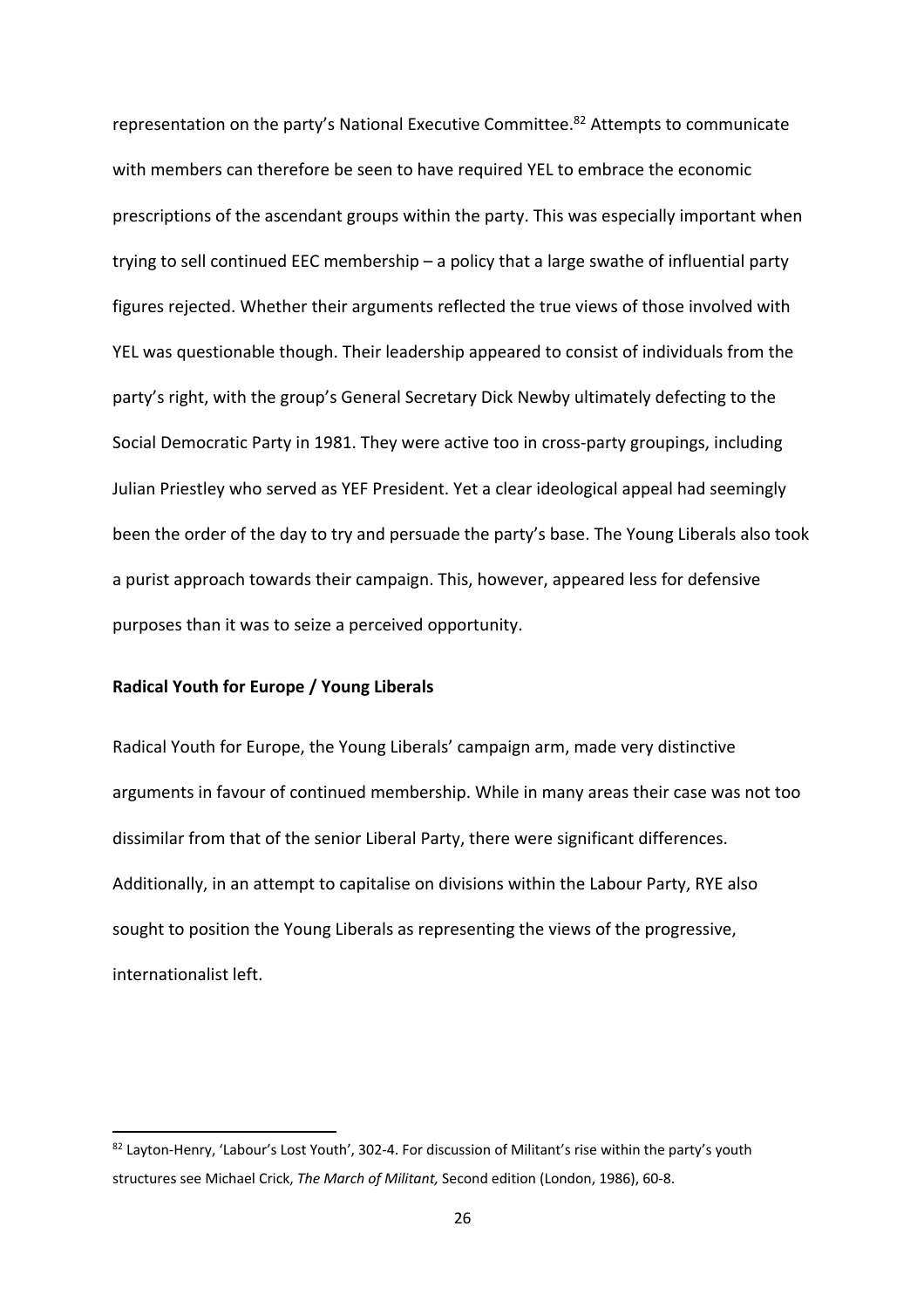representation on the party's National Executive Committee.82 Attempts to communicate with members can therefore be seen to have required YEL to embrace the economic prescriptions of the ascendant groups within the party. This was especially important when trying to sell continued EEC membership – a policy that a large swathe of influential party figures rejected. Whether their arguments reflected the true views of those involved with YEL was questionable though. Their leadership appeared to consist of individuals from the party's right, with the group's General Secretary Dick Newby ultimately defecting to the Social Democratic Party in 1981. They were active too in cross-party groupings, including Julian Priestley who served as YEF President. Yet a clear ideological appeal had seemingly been the order of the day to try and persuade the party's base. The Young Liberals also took a purist approach towards their campaign. This, however, appeared less for defensive purposes than it was to seize a perceived opportunity.

# **Radical Youth for Europe / Young Liberals**

Radical Youth for Europe, the Young Liberals' campaign arm, made very distinctive arguments in favour of continued membership. While in many areas their case was not too dissimilar from that of the senior Liberal Party, there were significant differences. Additionally, in an attempt to capitalise on divisions within the Labour Party, RYE also sought to position the Young Liberals as representing the views of the progressive, internationalist left.

<sup>82</sup> Layton-Henry, 'Labour's Lost Youth', 302-4. For discussion of Militant's rise within the party's youth structures see Michael Crick, *The March of Militant,* Second edition (London, 1986), 60-8.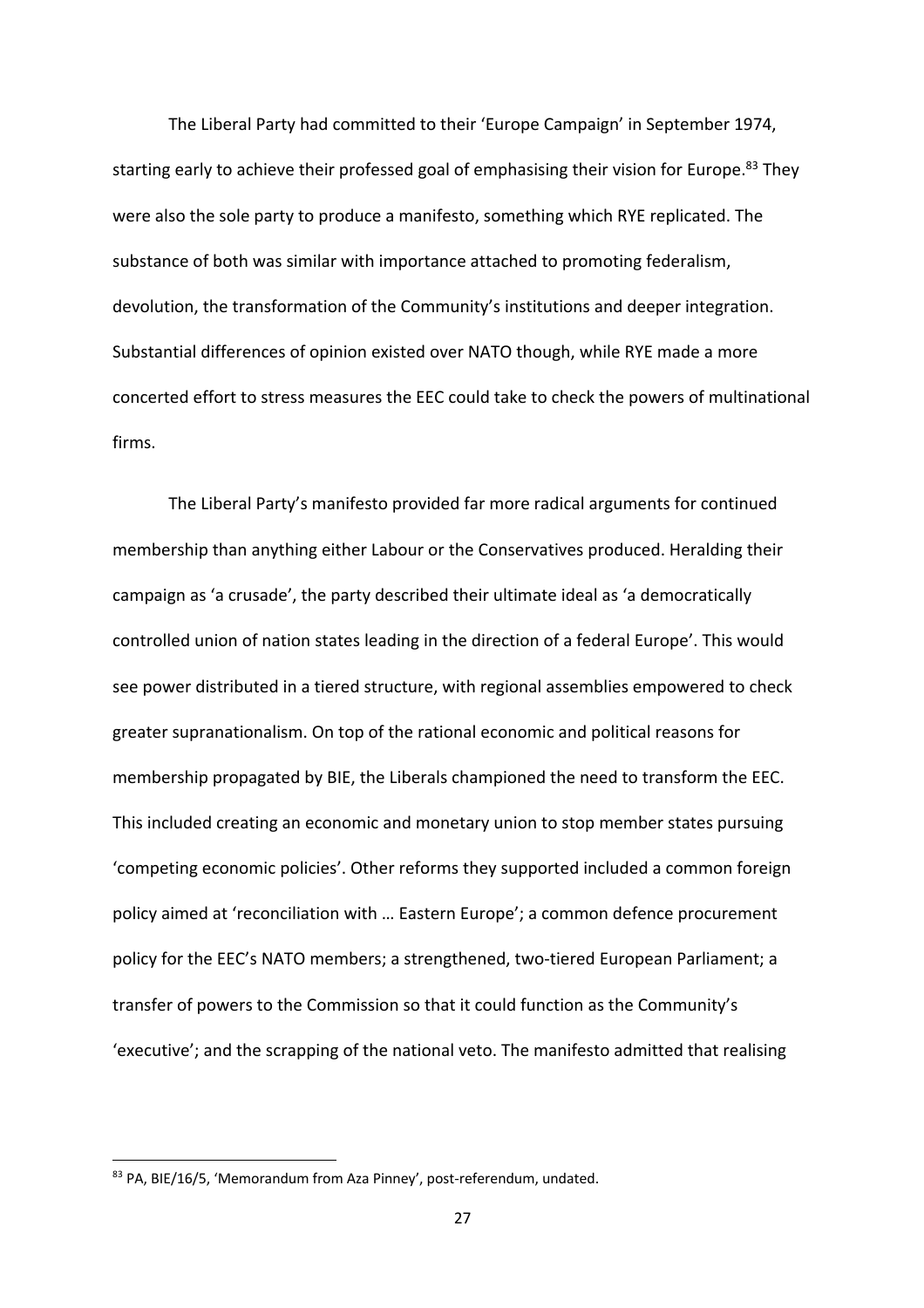The Liberal Party had committed to their 'Europe Campaign' in September 1974, starting early to achieve their professed goal of emphasising their vision for Europe.<sup>83</sup> They were also the sole party to produce a manifesto, something which RYE replicated. The substance of both was similar with importance attached to promoting federalism, devolution, the transformation of the Community's institutions and deeper integration. Substantial differences of opinion existed over NATO though, while RYE made a more concerted effort to stress measures the EEC could take to check the powers of multinational firms.

The Liberal Party's manifesto provided far more radical arguments for continued membership than anything either Labour or the Conservatives produced. Heralding their campaign as 'a crusade', the party described their ultimate ideal as 'a democratically controlled union of nation states leading in the direction of a federal Europe'. This would see power distributed in a tiered structure, with regional assemblies empowered to check greater supranationalism. On top of the rational economic and political reasons for membership propagated by BIE, the Liberals championed the need to transform the EEC. This included creating an economic and monetary union to stop member states pursuing 'competing economic policies'. Other reforms they supported included a common foreign policy aimed at 'reconciliation with … Eastern Europe'; a common defence procurement policy for the EEC's NATO members; a strengthened, two-tiered European Parliament; a transfer of powers to the Commission so that it could function as the Community's 'executive'; and the scrapping of the national veto. The manifesto admitted that realising

<sup>83</sup> PA, BIE/16/5, 'Memorandum from Aza Pinney', post-referendum, undated.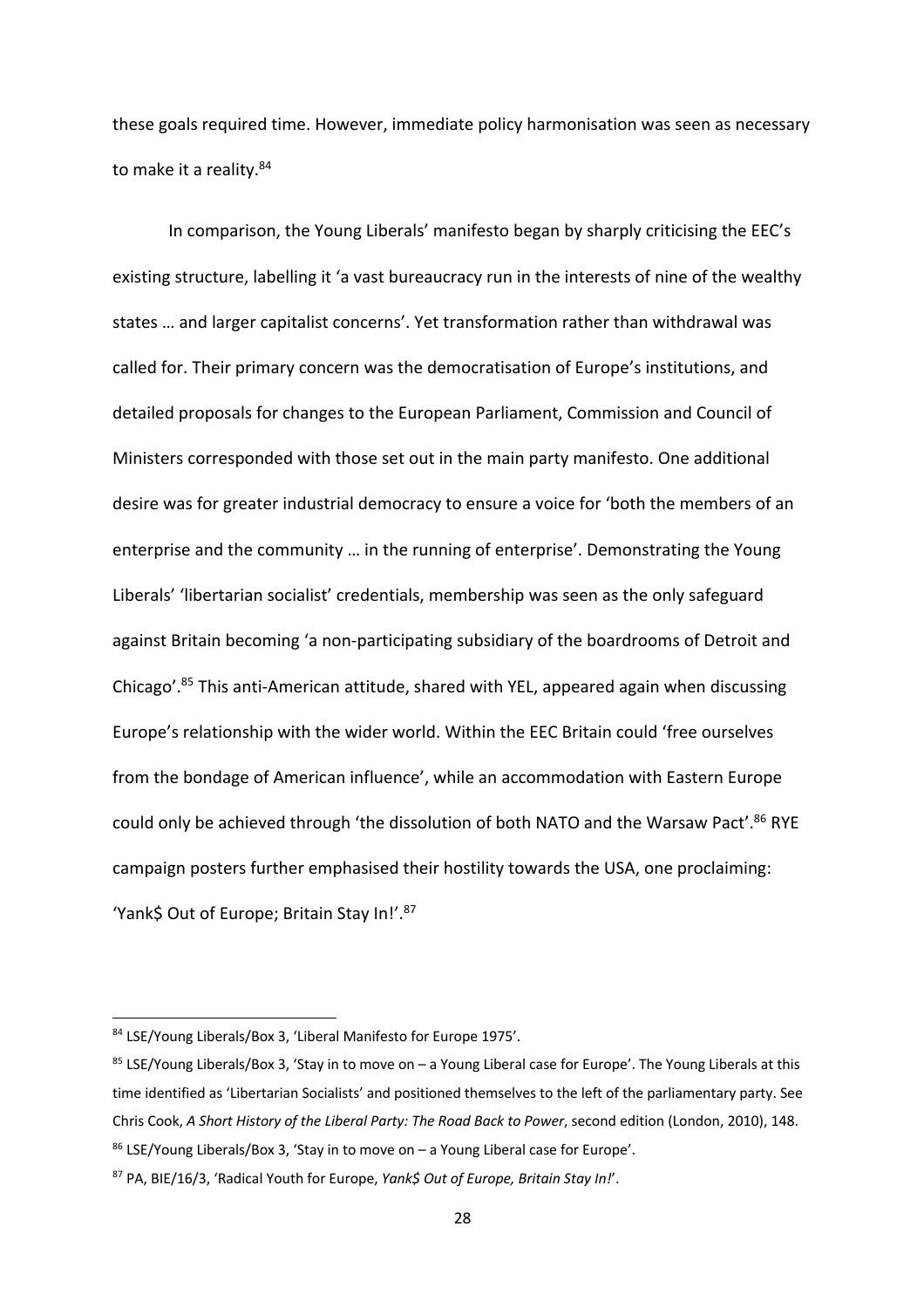these goals required time. However, immediate policy harmonisation was seen as necessary to make it a reality.<sup>84</sup>

In comparison, the Young Liberals' manifesto began by sharply criticising the EEC's existing structure, labelling it 'a vast bureaucracy run in the interests of nine of the wealthy states … and larger capitalist concerns'. Yet transformation rather than withdrawal was called for. Their primary concern was the democratisation of Europe's institutions, and detailed proposals for changes to the European Parliament, Commission and Council of Ministers corresponded with those set out in the main party manifesto. One additional desire was for greater industrial democracy to ensure a voice for 'both the members of an enterprise and the community … in the running of enterprise'. Demonstrating the Young Liberals' 'libertarian socialist' credentials, membership was seen as the only safeguard against Britain becoming 'a non-participating subsidiary of the boardrooms of Detroit and Chicago'.85 This anti-American attitude, shared with YEL, appeared again when discussing Europe's relationship with the wider world. Within the EEC Britain could 'free ourselves from the bondage of American influence', while an accommodation with Eastern Europe could only be achieved through 'the dissolution of both NATO and the Warsaw Pact'.<sup>86</sup> RYE campaign posters further emphasised their hostility towards the USA, one proclaiming: 'Yank\$ Out of Europe; Britain Stay In!'.87

<sup>84</sup> LSE/Young Liberals/Box 3, 'Liberal Manifesto for Europe 1975'.

 $85$  LSE/Young Liberals/Box 3, 'Stay in to move on  $-$  a Young Liberal case for Europe'. The Young Liberals at this time identified as 'Libertarian Socialists' and positioned themselves to the left of the parliamentary party. See Chris Cook, *A Short History of the Liberal Party: The Road Back to Power*, second edition (London, 2010), 148.

<sup>86</sup> LSE/Young Liberals/Box 3, 'Stay in to move on – a Young Liberal case for Europe'.

<sup>87</sup> PA, BIE/16/3, 'Radical Youth for Europe, *Yank\$ Out of Europe, Britain Stay In!*'.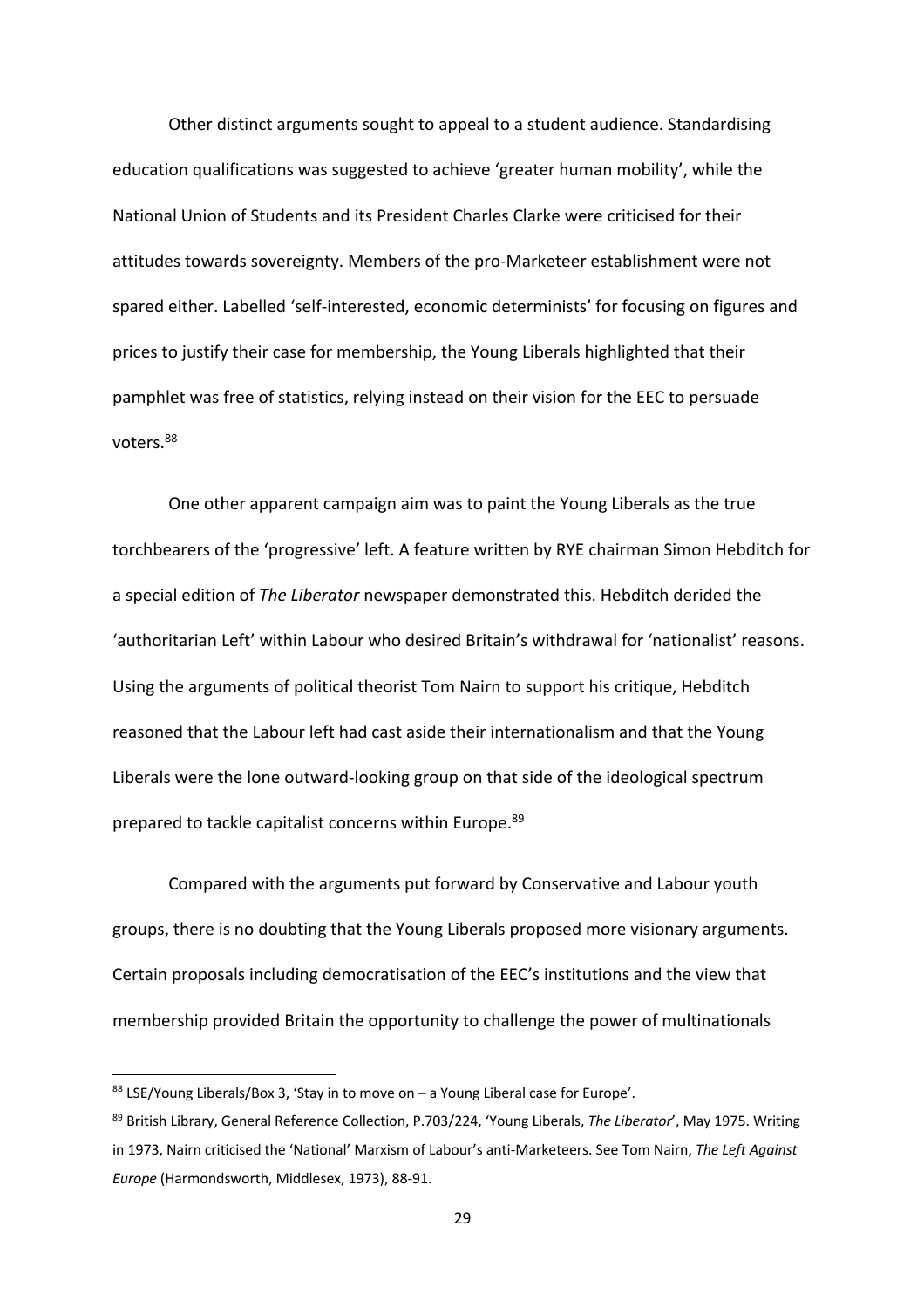Other distinct arguments sought to appeal to a student audience. Standardising education qualifications was suggested to achieve 'greater human mobility', while the National Union of Students and its President Charles Clarke were criticised for their attitudes towards sovereignty. Members of the pro-Marketeer establishment were not spared either. Labelled 'self-interested, economic determinists' for focusing on figures and prices to justify their case for membership, the Young Liberals highlighted that their pamphlet was free of statistics, relying instead on their vision for the EEC to persuade voters<sup>88</sup>

One other apparent campaign aim was to paint the Young Liberals as the true torchbearers of the 'progressive' left. A feature written by RYE chairman Simon Hebditch for a special edition of *The Liberator* newspaper demonstrated this. Hebditch derided the 'authoritarian Left' within Labour who desired Britain's withdrawal for 'nationalist' reasons. Using the arguments of political theorist Tom Nairn to support his critique, Hebditch reasoned that the Labour left had cast aside their internationalism and that the Young Liberals were the lone outward-looking group on that side of the ideological spectrum prepared to tackle capitalist concerns within Europe.89

Compared with the arguments put forward by Conservative and Labour youth groups, there is no doubting that the Young Liberals proposed more visionary arguments. Certain proposals including democratisation of the EEC's institutions and the view that membership provided Britain the opportunity to challenge the power of multinationals

 $88$  LSE/Young Liberals/Box 3, 'Stay in to move on - a Young Liberal case for Europe'.

<sup>89</sup> British Library, General Reference Collection, P.703/224, 'Young Liberals, *The Liberator*', May 1975. Writing in 1973, Nairn criticised the 'National' Marxism of Labour's anti-Marketeers. See Tom Nairn, *The Left Against Europe* (Harmondsworth, Middlesex, 1973), 88-91.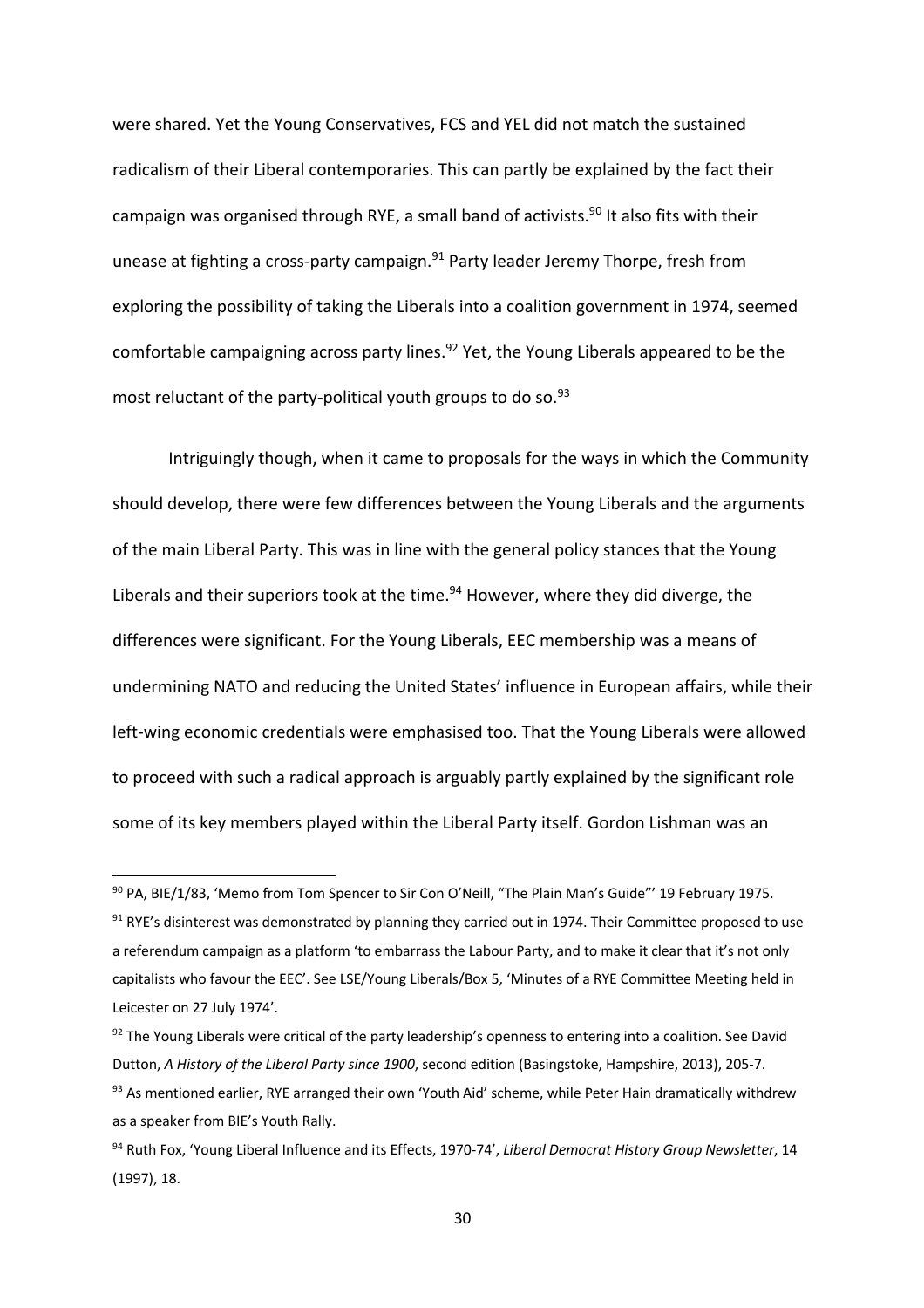were shared. Yet the Young Conservatives, FCS and YEL did not match the sustained radicalism of their Liberal contemporaries. This can partly be explained by the fact their campaign was organised through RYE, a small band of activists.<sup>90</sup> It also fits with their unease at fighting a cross-party campaign.<sup>91</sup> Party leader Jeremy Thorpe, fresh from exploring the possibility of taking the Liberals into a coalition government in 1974, seemed comfortable campaigning across party lines.<sup>92</sup> Yet, the Young Liberals appeared to be the most reluctant of the party-political youth groups to do so.<sup>93</sup>

Intriguingly though, when it came to proposals for the ways in which the Community should develop, there were few differences between the Young Liberals and the arguments of the main Liberal Party. This was in line with the general policy stances that the Young Liberals and their superiors took at the time. $94$  However, where they did diverge, the differences were significant. For the Young Liberals, EEC membership was a means of undermining NATO and reducing the United States' influence in European affairs, while their left-wing economic credentials were emphasised too. That the Young Liberals were allowed to proceed with such a radical approach is arguably partly explained by the significant role some of its key members played within the Liberal Party itself. Gordon Lishman was an

<sup>90</sup> PA, BIE/1/83, 'Memo from Tom Spencer to Sir Con O'Neill, "The Plain Man's Guide"' 19 February 1975.  $91$  RYE's disinterest was demonstrated by planning they carried out in 1974. Their Committee proposed to use a referendum campaign as a platform 'to embarrass the Labour Party, and to make it clear that it's not only capitalists who favour the EEC'. See LSE/Young Liberals/Box 5, 'Minutes of a RYE Committee Meeting held in Leicester on 27 July 1974'.

<sup>92</sup> The Young Liberals were critical of the party leadership's openness to entering into a coalition. See David Dutton, *A History of the Liberal Party since 1900*, second edition (Basingstoke, Hampshire, 2013), 205-7.

<sup>&</sup>lt;sup>93</sup> As mentioned earlier, RYE arranged their own 'Youth Aid' scheme, while Peter Hain dramatically withdrew as a speaker from BIE's Youth Rally.

<sup>94</sup> Ruth Fox, 'Young Liberal Influence and its Effects, 1970-74', *Liberal Democrat History Group Newsletter*, 14 (1997), 18.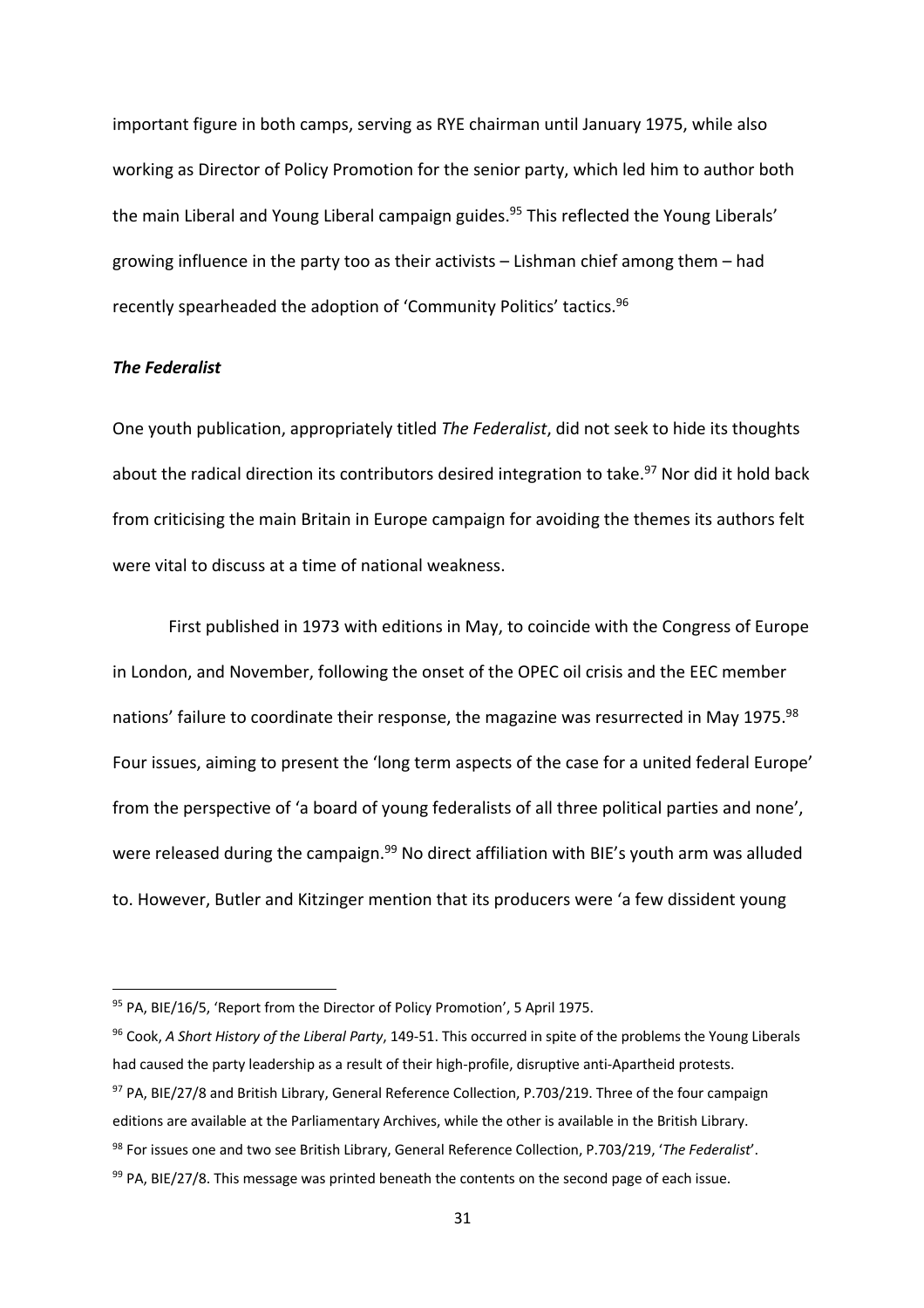important figure in both camps, serving as RYE chairman until January 1975, while also working as Director of Policy Promotion for the senior party, which led him to author both the main Liberal and Young Liberal campaign guides.<sup>95</sup> This reflected the Young Liberals' growing influence in the party too as their activists – Lishman chief among them – had recently spearheaded the adoption of 'Community Politics' tactics.<sup>96</sup>

# *The Federalist*

One youth publication, appropriately titled *The Federalist*, did not seek to hide its thoughts about the radical direction its contributors desired integration to take.<sup>97</sup> Nor did it hold back from criticising the main Britain in Europe campaign for avoiding the themes its authors felt were vital to discuss at a time of national weakness.

First published in 1973 with editions in May, to coincide with the Congress of Europe in London, and November, following the onset of the OPEC oil crisis and the EEC member nations' failure to coordinate their response, the magazine was resurrected in May 1975.<sup>98</sup> Four issues, aiming to present the 'long term aspects of the case for a united federal Europe' from the perspective of 'a board of young federalists of all three political parties and none', were released during the campaign.<sup>99</sup> No direct affiliation with BIE's youth arm was alluded to. However, Butler and Kitzinger mention that its producers were 'a few dissident young

<sup>95</sup> PA, BIE/16/5, 'Report from the Director of Policy Promotion', 5 April 1975.

<sup>96</sup> Cook, *A Short History of the Liberal Party*, 149-51. This occurred in spite of the problems the Young Liberals had caused the party leadership as a result of their high-profile, disruptive anti-Apartheid protests. 97 PA, BIE/27/8 and British Library, General Reference Collection, P.703/219. Three of the four campaign

editions are available at the Parliamentary Archives, while the other is available in the British Library.

<sup>98</sup> For issues one and two see British Library, General Reference Collection, P.703/219, '*The Federalist*'.

 $99$  PA, BIE/27/8. This message was printed beneath the contents on the second page of each issue.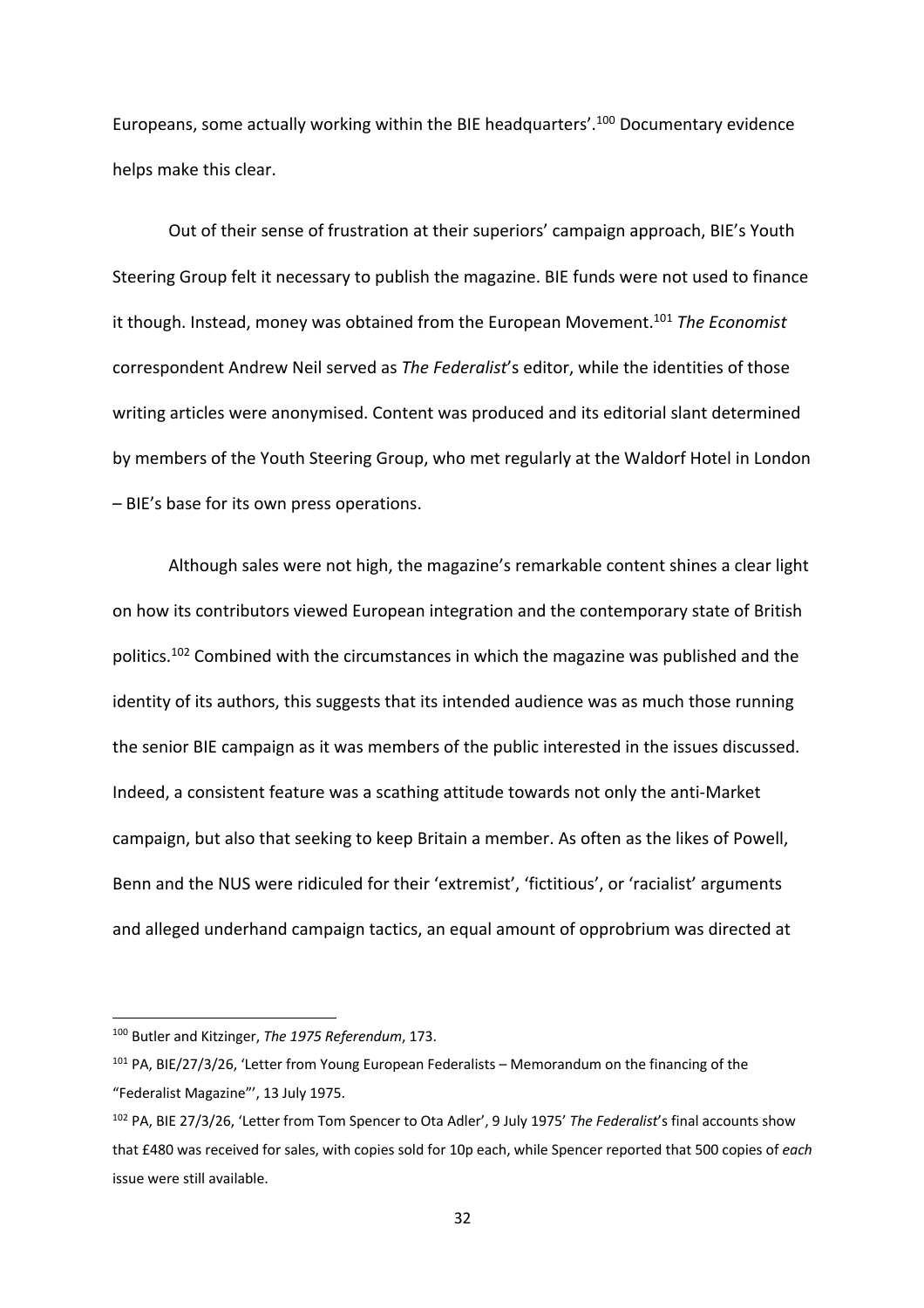Europeans, some actually working within the BIE headquarters'.<sup>100</sup> Documentary evidence helps make this clear.

Out of their sense of frustration at their superiors' campaign approach, BIE's Youth Steering Group felt it necessary to publish the magazine. BIE funds were not used to finance it though. Instead, money was obtained from the European Movement.101 *The Economist*  correspondent Andrew Neil served as *The Federalist*'s editor, while the identities of those writing articles were anonymised. Content was produced and its editorial slant determined by members of the Youth Steering Group, who met regularly at the Waldorf Hotel in London – BIE's base for its own press operations.

Although sales were not high, the magazine's remarkable content shines a clear light on how its contributors viewed European integration and the contemporary state of British politics.102 Combined with the circumstances in which the magazine was published and the identity of its authors, this suggests that its intended audience was as much those running the senior BIE campaign as it was members of the public interested in the issues discussed. Indeed, a consistent feature was a scathing attitude towards not only the anti-Market campaign, but also that seeking to keep Britain a member. As often as the likes of Powell, Benn and the NUS were ridiculed for their 'extremist', 'fictitious', or 'racialist' arguments and alleged underhand campaign tactics, an equal amount of opprobrium was directed at

<sup>100</sup> Butler and Kitzinger, *The 1975 Referendum*, 173.

<sup>101</sup> PA, BIE/27/3/26, 'Letter from Young European Federalists – Memorandum on the financing of the "Federalist Magazine"', 13 July 1975.

<sup>102</sup> PA, BIE 27/3/26, 'Letter from Tom Spencer to Ota Adler', 9 July 1975' *The Federalist*'s final accounts show that £480 was received for sales, with copies sold for 10p each, while Spencer reported that 500 copies of *each*  issue were still available.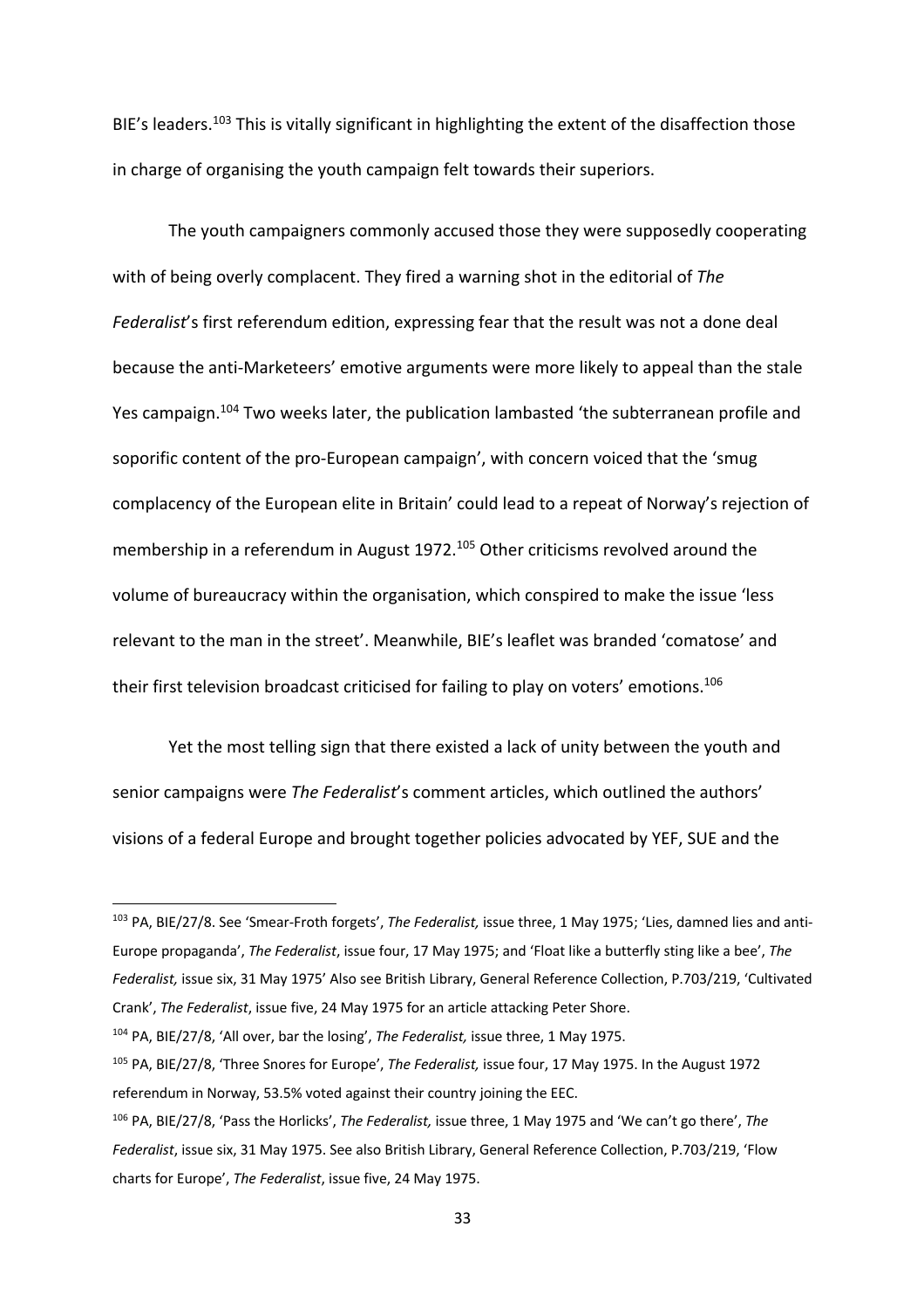BIE's leaders.<sup>103</sup> This is vitally significant in highlighting the extent of the disaffection those in charge of organising the youth campaign felt towards their superiors.

The youth campaigners commonly accused those they were supposedly cooperating with of being overly complacent. They fired a warning shot in the editorial of *The Federalist*'s first referendum edition, expressing fear that the result was not a done deal because the anti-Marketeers' emotive arguments were more likely to appeal than the stale Yes campaign.104 Two weeks later, the publication lambasted 'the subterranean profile and soporific content of the pro-European campaign', with concern voiced that the 'smug complacency of the European elite in Britain' could lead to a repeat of Norway's rejection of membership in a referendum in August 1972.105 Other criticisms revolved around the volume of bureaucracy within the organisation, which conspired to make the issue 'less relevant to the man in the street'. Meanwhile, BIE's leaflet was branded 'comatose' and their first television broadcast criticised for failing to play on voters' emotions.<sup>106</sup>

Yet the most telling sign that there existed a lack of unity between the youth and senior campaigns were *The Federalist*'s comment articles, which outlined the authors' visions of a federal Europe and brought together policies advocated by YEF, SUE and the

<sup>103</sup> PA, BIE/27/8. See 'Smear-Froth forgets', *The Federalist,* issue three, 1 May 1975; 'Lies, damned lies and anti-Europe propaganda', *The Federalist*, issue four, 17 May 1975; and 'Float like a butterfly sting like a bee', *The Federalist,* issue six, 31 May 1975' Also see British Library, General Reference Collection, P.703/219, 'Cultivated Crank', *The Federalist*, issue five, 24 May 1975 for an article attacking Peter Shore.

<sup>104</sup> PA, BIE/27/8, 'All over, bar the losing', *The Federalist,* issue three, 1 May 1975.

<sup>105</sup> PA, BIE/27/8, 'Three Snores for Europe', *The Federalist,* issue four, 17 May 1975. In the August 1972 referendum in Norway, 53.5% voted against their country joining the EEC.

<sup>106</sup> PA, BIE/27/8, 'Pass the Horlicks', *The Federalist,* issue three, 1 May 1975 and 'We can't go there', *The Federalist*, issue six, 31 May 1975. See also British Library, General Reference Collection, P.703/219, 'Flow charts for Europe', *The Federalist*, issue five, 24 May 1975.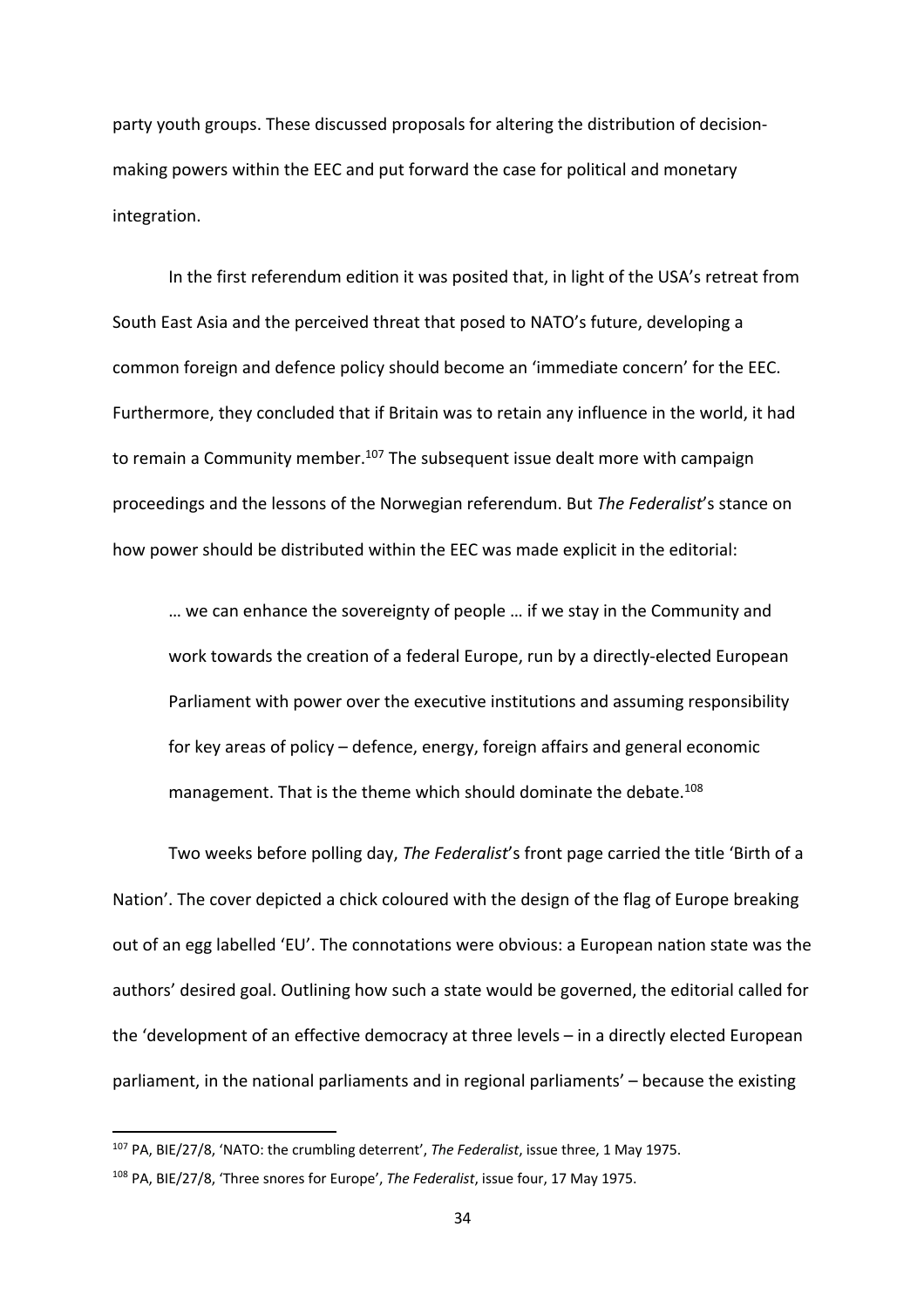party youth groups. These discussed proposals for altering the distribution of decisionmaking powers within the EEC and put forward the case for political and monetary integration.

In the first referendum edition it was posited that, in light of the USA's retreat from South East Asia and the perceived threat that posed to NATO's future, developing a common foreign and defence policy should become an 'immediate concern' for the EEC. Furthermore, they concluded that if Britain was to retain any influence in the world, it had to remain a Community member.<sup>107</sup> The subsequent issue dealt more with campaign proceedings and the lessons of the Norwegian referendum. But *The Federalist*'s stance on how power should be distributed within the EEC was made explicit in the editorial:

… we can enhance the sovereignty of people … if we stay in the Community and work towards the creation of a federal Europe, run by a directly-elected European Parliament with power over the executive institutions and assuming responsibility for key areas of policy – defence, energy, foreign affairs and general economic management. That is the theme which should dominate the debate.<sup>108</sup>

Two weeks before polling day, *The Federalist*'s front page carried the title 'Birth of a Nation'. The cover depicted a chick coloured with the design of the flag of Europe breaking out of an egg labelled 'EU'. The connotations were obvious: a European nation state was the authors' desired goal. Outlining how such a state would be governed, the editorial called for the 'development of an effective democracy at three levels – in a directly elected European parliament, in the national parliaments and in regional parliaments' – because the existing

<sup>107</sup> PA, BIE/27/8, 'NATO: the crumbling deterrent', *The Federalist*, issue three, 1 May 1975.

<sup>108</sup> PA, BIE/27/8, 'Three snores for Europe', *The Federalist*, issue four, 17 May 1975.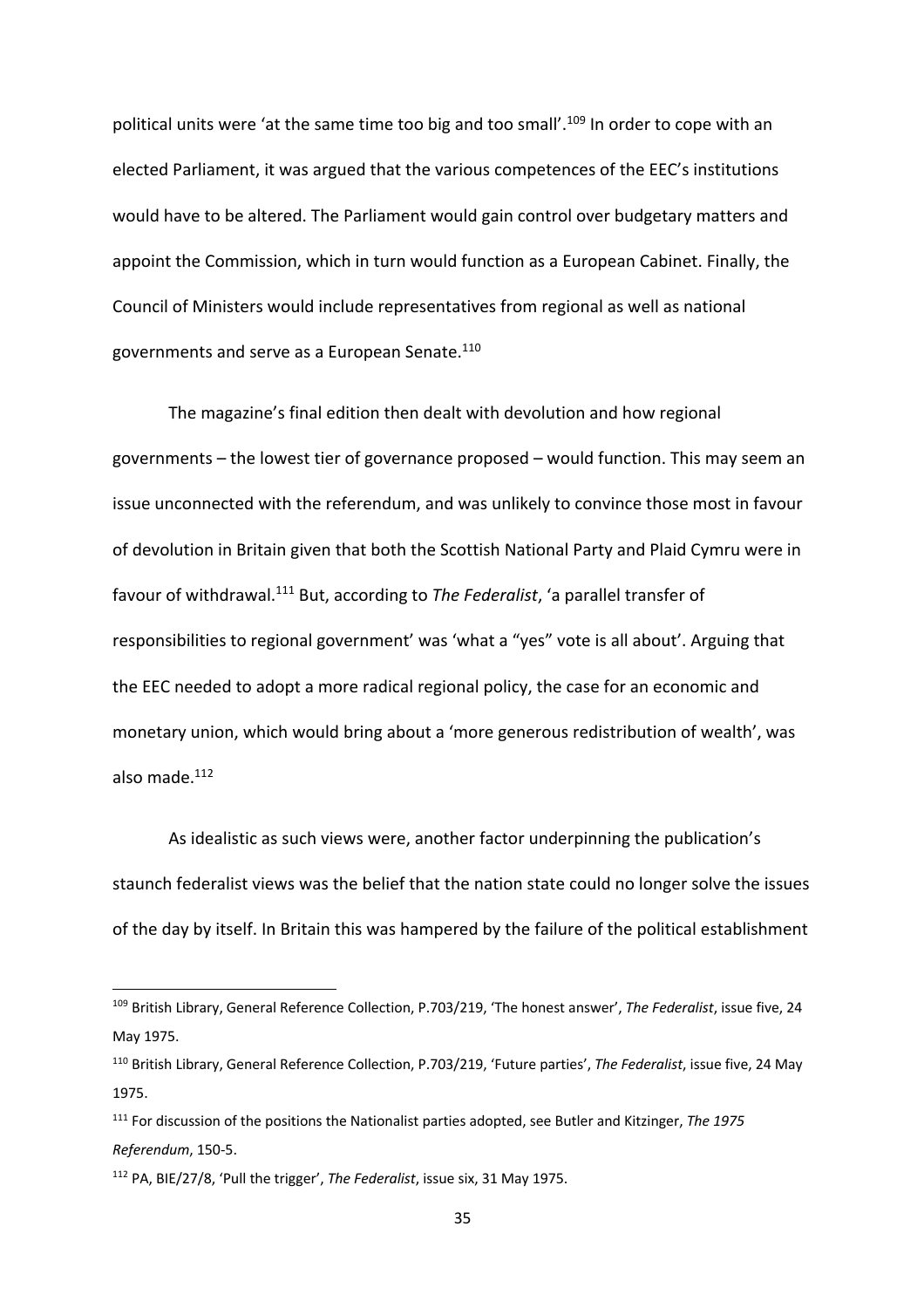political units were 'at the same time too big and too small'.<sup>109</sup> In order to cope with an elected Parliament, it was argued that the various competences of the EEC's institutions would have to be altered. The Parliament would gain control over budgetary matters and appoint the Commission, which in turn would function as a European Cabinet. Finally, the Council of Ministers would include representatives from regional as well as national governments and serve as a European Senate.110

The magazine's final edition then dealt with devolution and how regional governments – the lowest tier of governance proposed – would function. This may seem an issue unconnected with the referendum, and was unlikely to convince those most in favour of devolution in Britain given that both the Scottish National Party and Plaid Cymru were in favour of withdrawal. <sup>111</sup> But, according to *The Federalist*, 'a parallel transfer of responsibilities to regional government' was 'what a "yes" vote is all about'. Arguing that the EEC needed to adopt a more radical regional policy, the case for an economic and monetary union, which would bring about a 'more generous redistribution of wealth', was also made. 112

As idealistic as such views were, another factor underpinning the publication's staunch federalist views was the belief that the nation state could no longer solve the issues of the day by itself. In Britain this was hampered by the failure of the political establishment

<sup>109</sup> British Library, General Reference Collection, P.703/219, 'The honest answer', *The Federalist*, issue five, 24 May 1975.

<sup>110</sup> British Library, General Reference Collection, P.703/219, 'Future parties', *The Federalist*, issue five, 24 May 1975.

<sup>111</sup> For discussion of the positions the Nationalist parties adopted, see Butler and Kitzinger, *The 1975 Referendum*, 150-5.

<sup>112</sup> PA, BIE/27/8, 'Pull the trigger', *The Federalist*, issue six, 31 May 1975.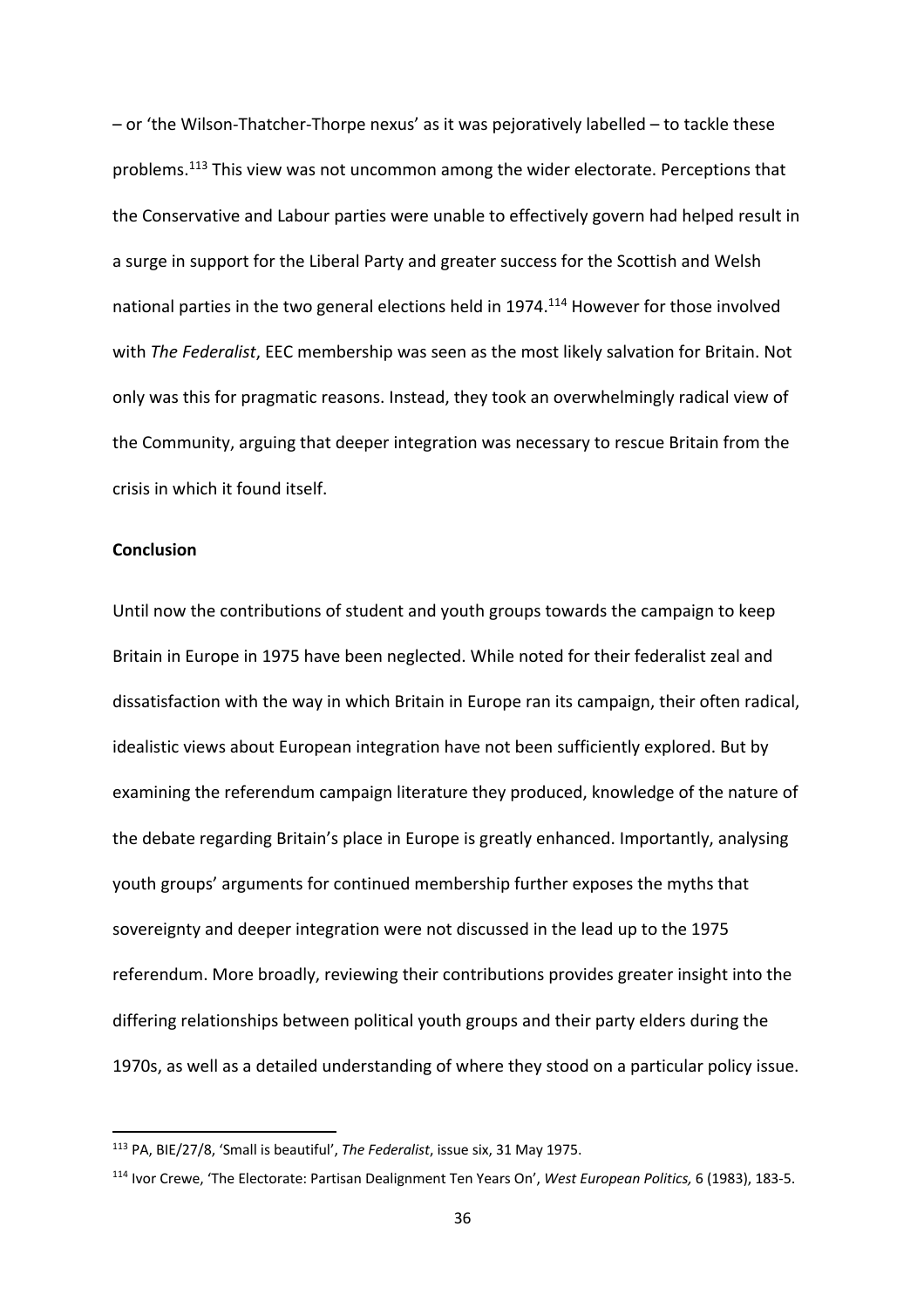– or 'the Wilson-Thatcher-Thorpe nexus' as it was pejoratively labelled – to tackle these problems.113 This view was not uncommon among the wider electorate. Perceptions that the Conservative and Labour parties were unable to effectively govern had helped result in a surge in support for the Liberal Party and greater success for the Scottish and Welsh national parties in the two general elections held in 1974.<sup>114</sup> However for those involved with *The Federalist*, EEC membership was seen as the most likely salvation for Britain. Not only was this for pragmatic reasons. Instead, they took an overwhelmingly radical view of the Community, arguing that deeper integration was necessary to rescue Britain from the crisis in which it found itself.

## **Conclusion**

Until now the contributions of student and youth groups towards the campaign to keep Britain in Europe in 1975 have been neglected. While noted for their federalist zeal and dissatisfaction with the way in which Britain in Europe ran its campaign, their often radical, idealistic views about European integration have not been sufficiently explored. But by examining the referendum campaign literature they produced, knowledge of the nature of the debate regarding Britain's place in Europe is greatly enhanced. Importantly, analysing youth groups' arguments for continued membership further exposes the myths that sovereignty and deeper integration were not discussed in the lead up to the 1975 referendum. More broadly, reviewing their contributions provides greater insight into the differing relationships between political youth groups and their party elders during the 1970s, as well as a detailed understanding of where they stood on a particular policy issue.

<sup>113</sup> PA, BIE/27/8, 'Small is beautiful', *The Federalist*, issue six, 31 May 1975.

<sup>114</sup> Ivor Crewe, 'The Electorate: Partisan Dealignment Ten Years On', *West European Politics,* 6 (1983), 183-5.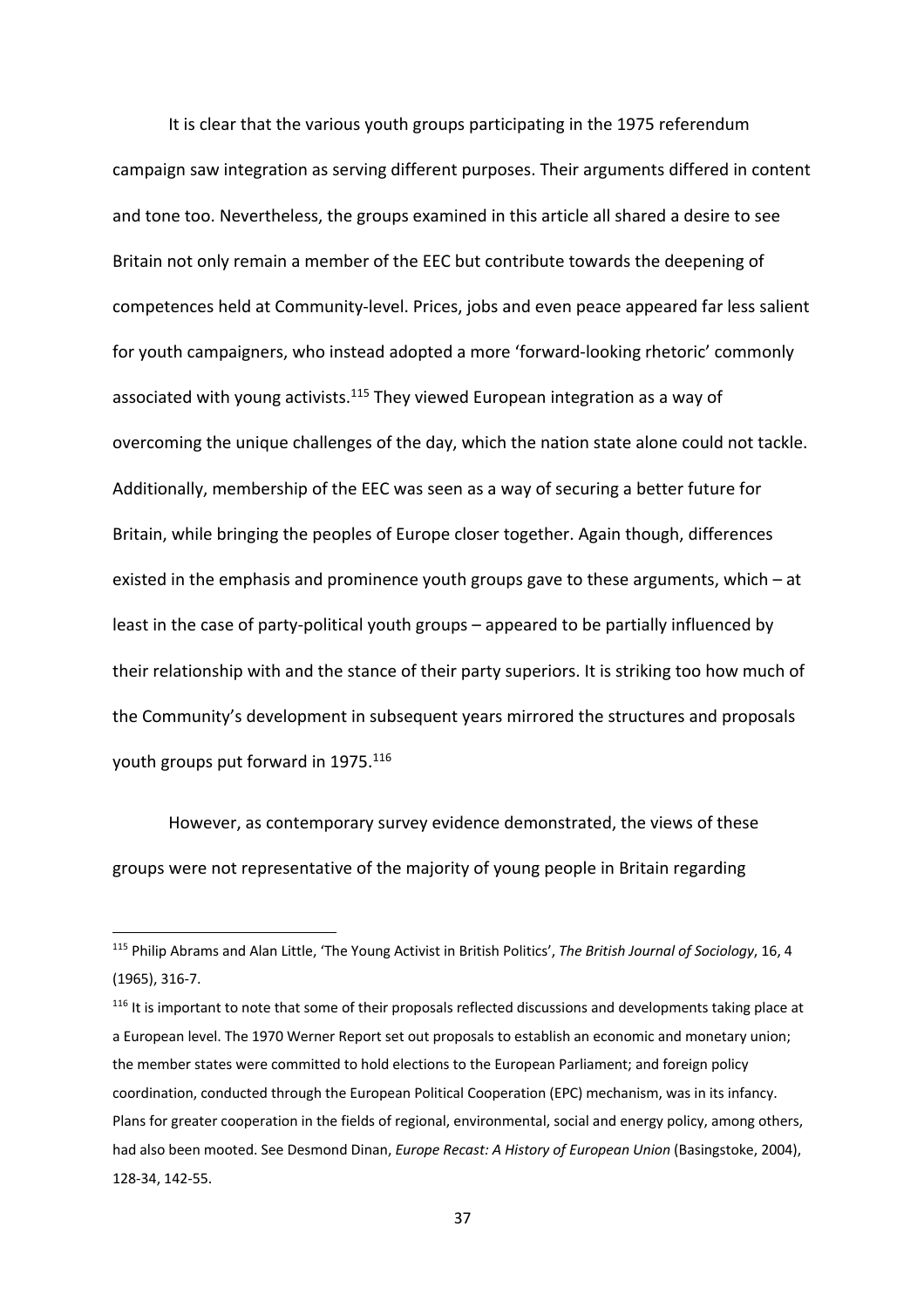It is clear that the various youth groups participating in the 1975 referendum campaign saw integration as serving different purposes. Their arguments differed in content and tone too. Nevertheless, the groups examined in this article all shared a desire to see Britain not only remain a member of the EEC but contribute towards the deepening of competences held at Community-level. Prices, jobs and even peace appeared far less salient for youth campaigners, who instead adopted a more 'forward-looking rhetoric' commonly associated with young activists.<sup>115</sup> They viewed European integration as a way of overcoming the unique challenges of the day, which the nation state alone could not tackle. Additionally, membership of the EEC was seen as a way of securing a better future for Britain, while bringing the peoples of Europe closer together. Again though, differences existed in the emphasis and prominence youth groups gave to these arguments, which – at least in the case of party-political youth groups – appeared to be partially influenced by their relationship with and the stance of their party superiors. It is striking too how much of the Community's development in subsequent years mirrored the structures and proposals youth groups put forward in 1975.<sup>116</sup>

However, as contemporary survey evidence demonstrated, the views of these groups were not representative of the majority of young people in Britain regarding

<sup>115</sup> Philip Abrams and Alan Little, 'The Young Activist in British Politics', *The British Journal of Sociology*, 16, 4 (1965), 316-7.

 $116$  It is important to note that some of their proposals reflected discussions and developments taking place at a European level. The 1970 Werner Report set out proposals to establish an economic and monetary union; the member states were committed to hold elections to the European Parliament; and foreign policy coordination, conducted through the European Political Cooperation (EPC) mechanism, was in its infancy. Plans for greater cooperation in the fields of regional, environmental, social and energy policy, among others, had also been mooted. See Desmond Dinan, *Europe Recast: A History of European Union* (Basingstoke, 2004), 128-34, 142-55.